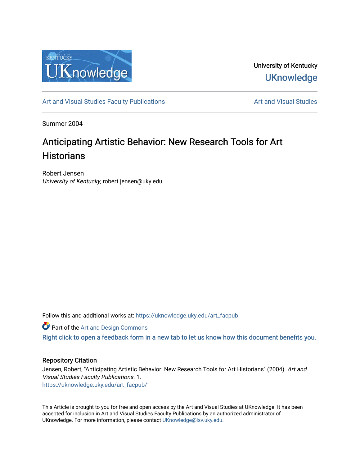

University of Kentucky **UKnowledge** 

[Art and Visual Studies Faculty Publications](https://uknowledge.uky.edu/art_facpub) **Art and Visual Studies** Art and Visual Studies

Summer 2004

# Anticipating Artistic Behavior: New Research Tools for Art **Historians**

Robert Jensen University of Kentucky, robert.jensen@uky.edu

Follow this and additional works at: [https://uknowledge.uky.edu/art\\_facpub](https://uknowledge.uky.edu/art_facpub?utm_source=uknowledge.uky.edu%2Fart_facpub%2F1&utm_medium=PDF&utm_campaign=PDFCoverPages)

**Part of the [Art and Design Commons](http://network.bepress.com/hgg/discipline/1049?utm_source=uknowledge.uky.edu%2Fart_facpub%2F1&utm_medium=PDF&utm_campaign=PDFCoverPages)** 

[Right click to open a feedback form in a new tab to let us know how this document benefits you.](https://uky.az1.qualtrics.com/jfe/form/SV_9mq8fx2GnONRfz7)

#### Repository Citation

Jensen, Robert, "Anticipating Artistic Behavior: New Research Tools for Art Historians" (2004). Art and Visual Studies Faculty Publications. 1. [https://uknowledge.uky.edu/art\\_facpub/1](https://uknowledge.uky.edu/art_facpub/1?utm_source=uknowledge.uky.edu%2Fart_facpub%2F1&utm_medium=PDF&utm_campaign=PDFCoverPages)

This Article is brought to you for free and open access by the Art and Visual Studies at UKnowledge. It has been accepted for inclusion in Art and Visual Studies Faculty Publications by an authorized administrator of UKnowledge. For more information, please contact [UKnowledge@lsv.uky.edu](mailto:UKnowledge@lsv.uky.edu).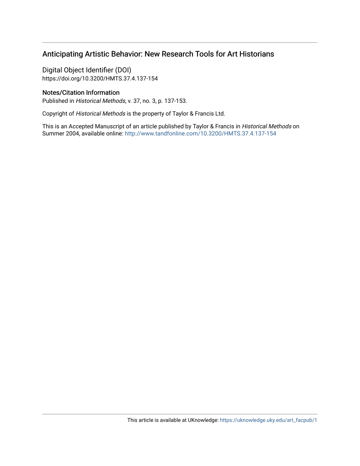# Anticipating Artistic Behavior: New Research Tools for Art Historians

Digital Object Identifier (DOI) https://doi.org/10.3200/HMTS.37.4.137-154

### Notes/Citation Information

Published in Historical Methods, v. 37, no. 3, p. 137-153.

Copyright of Historical Methods is the property of Taylor & Francis Ltd.

This is an Accepted Manuscript of an article published by Taylor & Francis in Historical Methods on Summer 2004, available online:<http://www.tandfonline.com/10.3200/HMTS.37.4.137-154>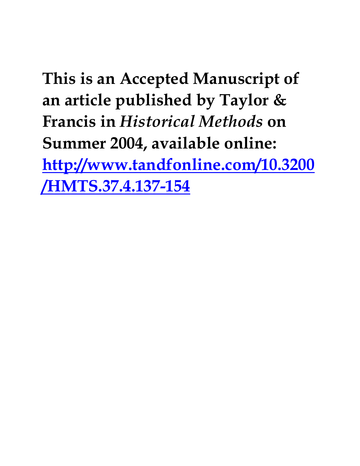**This is an Accepted Manuscript of an article published by Taylor & Francis in** *Historical Methods* **on Summer 2004, available online: [http://www.tandfonline.com/10.3200](http://www.tandfonline.com/10.3200/HMTS.37.4.137-154) [/HMTS.37.4.137-154](http://www.tandfonline.com/10.3200/HMTS.37.4.137-154)**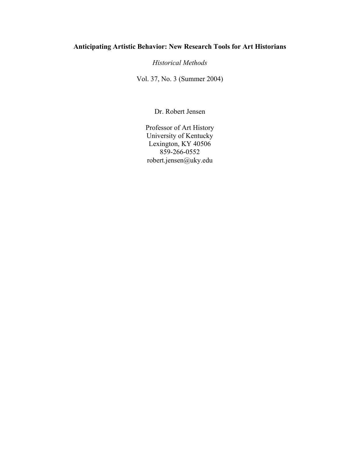## **Anticipating Artistic Behavior: New Research Tools for Art Historians**

*Historical Methods*

Vol. 37, No. 3 (Summer 2004)

Dr. Robert Jensen

Professor of Art History University of Kentucky Lexington, KY 40506 859-266-0552 robert.jensen@uky.edu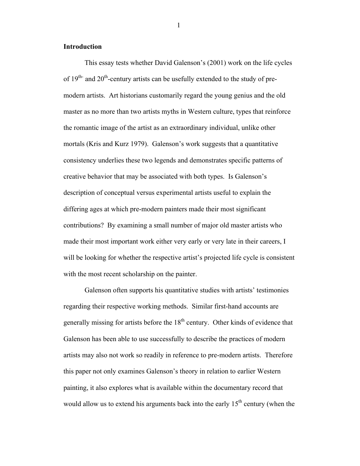#### **Introduction**

This essay tests whether David Galenson's (2001) work on the life cycles of  $19^{th}$  and  $20^{th}$ -century artists can be usefully extended to the study of premodern artists. Art historians customarily regard the young genius and the old master as no more than two artists myths in Western culture, types that reinforce the romantic image of the artist as an extraordinary individual, unlike other mortals (Kris and Kurz 1979). Galenson's work suggests that a quantitative consistency underlies these two legends and demonstrates specific patterns of creative behavior that may be associated with both types. Is Galenson's description of conceptual versus experimental artists useful to explain the differing ages at which pre-modern painters made their most significant contributions? By examining a small number of major old master artists who made their most important work either very early or very late in their careers, I will be looking for whether the respective artist's projected life cycle is consistent with the most recent scholarship on the painter.

Galenson often supports his quantitative studies with artists' testimonies regarding their respective working methods. Similar first-hand accounts are generally missing for artists before the  $18<sup>th</sup>$  century. Other kinds of evidence that Galenson has been able to use successfully to describe the practices of modern artists may also not work so readily in reference to pre-modern artists. Therefore this paper not only examines Galenson's theory in relation to earlier Western painting, it also explores what is available within the documentary record that would allow us to extend his arguments back into the early  $15<sup>th</sup>$  century (when the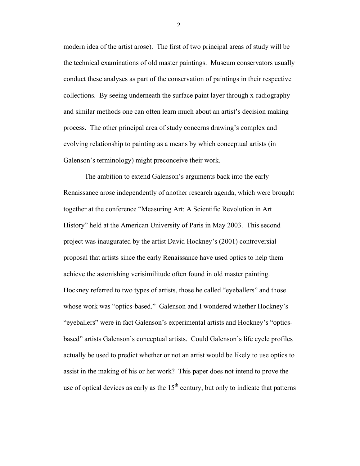modern idea of the artist arose). The first of two principal areas of study will be the technical examinations of old master paintings. Museum conservators usually conduct these analyses as part of the conservation of paintings in their respective collections. By seeing underneath the surface paint layer through x-radiography and similar methods one can often learn much about an artist's decision making process. The other principal area of study concerns drawing's complex and evolving relationship to painting as a means by which conceptual artists (in Galenson's terminology) might preconceive their work.

The ambition to extend Galenson's arguments back into the early Renaissance arose independently of another research agenda, which were brought together at the conference "Measuring Art: A Scientific Revolution in Art History" held at the American University of Paris in May 2003. This second project was inaugurated by the artist David Hockney's (2001) controversial proposal that artists since the early Renaissance have used optics to help them achieve the astonishing verisimilitude often found in old master painting. Hockney referred to two types of artists, those he called "eyeballers" and those whose work was "optics-based." Galenson and I wondered whether Hockney's "eyeballers" were in fact Galenson's experimental artists and Hockney's "opticsbased" artists Galenson's conceptual artists. Could Galenson's life cycle profiles actually be used to predict whether or not an artist would be likely to use optics to assist in the making of his or her work? This paper does not intend to prove the use of optical devices as early as the  $15<sup>th</sup>$  century, but only to indicate that patterns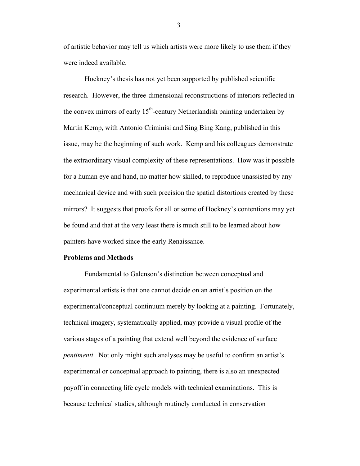of artistic behavior may tell us which artists were more likely to use them if they were indeed available.

Hockney's thesis has not yet been supported by published scientific research. However, the three-dimensional reconstructions of interiors reflected in the convex mirrors of early  $15<sup>th</sup>$ -century Netherlandish painting undertaken by Martin Kemp, with Antonio Criminisi and Sing Bing Kang, published in this issue, may be the beginning of such work. Kemp and his colleagues demonstrate the extraordinary visual complexity of these representations. How was it possible for a human eye and hand, no matter how skilled, to reproduce unassisted by any mechanical device and with such precision the spatial distortions created by these mirrors? It suggests that proofs for all or some of Hockney's contentions may yet be found and that at the very least there is much still to be learned about how painters have worked since the early Renaissance.

#### **Problems and Methods**

Fundamental to Galenson's distinction between conceptual and experimental artists is that one cannot decide on an artist's position on the experimental/conceptual continuum merely by looking at a painting. Fortunately, technical imagery, systematically applied, may provide a visual profile of the various stages of a painting that extend well beyond the evidence of surface *pentimenti*. Not only might such analyses may be useful to confirm an artist's experimental or conceptual approach to painting, there is also an unexpected payoff in connecting life cycle models with technical examinations. This is because technical studies, although routinely conducted in conservation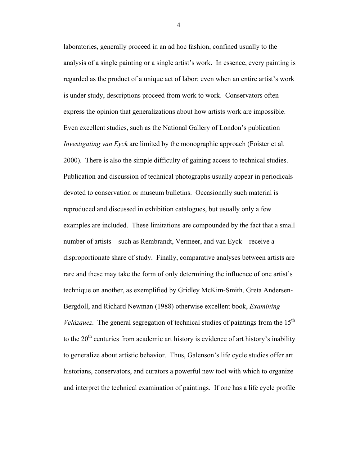laboratories, generally proceed in an ad hoc fashion, confined usually to the analysis of a single painting or a single artist's work. In essence, every painting is regarded as the product of a unique act of labor; even when an entire artist's work is under study, descriptions proceed from work to work. Conservators often express the opinion that generalizations about how artists work are impossible. Even excellent studies, such as the National Gallery of London's publication *Investigating van Eyck* are limited by the monographic approach (Foister et al. 2000). There is also the simple difficulty of gaining access to technical studies. Publication and discussion of technical photographs usually appear in periodicals devoted to conservation or museum bulletins. Occasionally such material is reproduced and discussed in exhibition catalogues, but usually only a few examples are included. These limitations are compounded by the fact that a small number of artists—such as Rembrandt, Vermeer, and van Eyck—receive a disproportionate share of study. Finally, comparative analyses between artists are rare and these may take the form of only determining the influence of one artist's technique on another, as exemplified by Gridley McKim-Smith, Greta Andersen-Bergdoll, and Richard Newman (1988) otherwise excellent book, *Examining Velázquez*. The general segregation of technical studies of paintings from the  $15<sup>th</sup>$ to the  $20<sup>th</sup>$  centuries from academic art history is evidence of art history's inability to generalize about artistic behavior. Thus, Galenson's life cycle studies offer art historians, conservators, and curators a powerful new tool with which to organize and interpret the technical examination of paintings. If one has a life cycle profile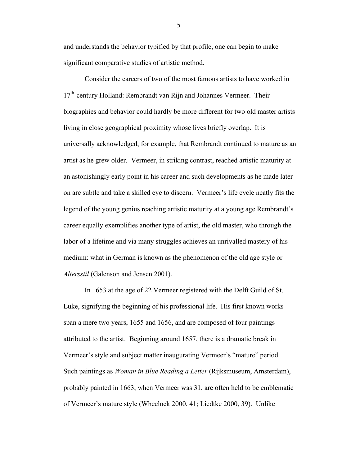and understands the behavior typified by that profile, one can begin to make significant comparative studies of artistic method.

Consider the careers of two of the most famous artists to have worked in 17<sup>th</sup>-century Holland: Rembrandt van Rijn and Johannes Vermeer. Their biographies and behavior could hardly be more different for two old master artists living in close geographical proximity whose lives briefly overlap. It is universally acknowledged, for example, that Rembrandt continued to mature as an artist as he grew older. Vermeer, in striking contrast, reached artistic maturity at an astonishingly early point in his career and such developments as he made later on are subtle and take a skilled eye to discern. Vermeer's life cycle neatly fits the legend of the young genius reaching artistic maturity at a young age Rembrandt's career equally exemplifies another type of artist, the old master, who through the labor of a lifetime and via many struggles achieves an unrivalled mastery of his medium: what in German is known as the phenomenon of the old age style or *Altersstil* (Galenson and Jensen 2001).

In 1653 at the age of 22 Vermeer registered with the Delft Guild of St. Luke, signifying the beginning of his professional life. His first known works span a mere two years, 1655 and 1656, and are composed of four paintings attributed to the artist. Beginning around 1657, there is a dramatic break in Vermeer's style and subject matter inaugurating Vermeer's "mature" period. Such paintings as *Woman in Blue Reading a Letter* (Rijksmuseum, Amsterdam), probably painted in 1663, when Vermeer was 31, are often held to be emblematic of Vermeer's mature style (Wheelock 2000, 41; Liedtke 2000, 39). Unlike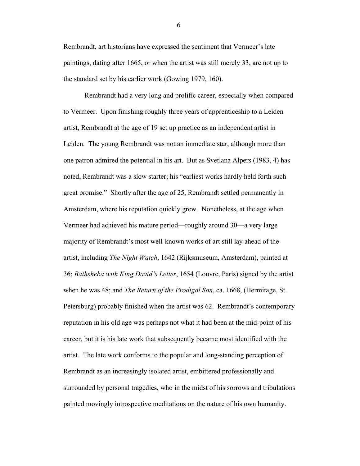Rembrandt, art historians have expressed the sentiment that Vermeer's late paintings, dating after 1665, or when the artist was still merely 33, are not up to the standard set by his earlier work (Gowing 1979, 160).

Rembrandt had a very long and prolific career, especially when compared to Vermeer. Upon finishing roughly three years of apprenticeship to a Leiden artist, Rembrandt at the age of 19 set up practice as an independent artist in Leiden. The young Rembrandt was not an immediate star, although more than one patron admired the potential in his art. But as Svetlana Alpers (1983, 4) has noted, Rembrandt was a slow starter; his "earliest works hardly held forth such great promise." Shortly after the age of 25, Rembrandt settled permanently in Amsterdam, where his reputation quickly grew. Nonetheless, at the age when Vermeer had achieved his mature period—roughly around 30—a very large majority of Rembrandt's most well-known works of art still lay ahead of the artist, including *The Night Watch*, 1642 (Rijksmuseum, Amsterdam), painted at 36; *Bathsheba with King David's Letter*, 1654 (Louvre, Paris) signed by the artist when he was 48; and *The Return of the Prodigal Son*, ca. 1668, (Hermitage, St. Petersburg) probably finished when the artist was 62. Rembrandt's contemporary reputation in his old age was perhaps not what it had been at the mid-point of his career, but it is his late work that subsequently became most identified with the artist. The late work conforms to the popular and long-standing perception of Rembrandt as an increasingly isolated artist, embittered professionally and surrounded by personal tragedies, who in the midst of his sorrows and tribulations painted movingly introspective meditations on the nature of his own humanity.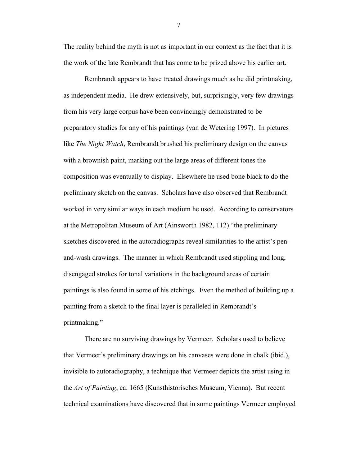The reality behind the myth is not as important in our context as the fact that it is the work of the late Rembrandt that has come to be prized above his earlier art.

Rembrandt appears to have treated drawings much as he did printmaking, as independent media. He drew extensively, but, surprisingly, very few drawings from his very large corpus have been convincingly demonstrated to be preparatory studies for any of his paintings (van de Wetering 1997). In pictures like *The Night Watch*, Rembrandt brushed his preliminary design on the canvas with a brownish paint, marking out the large areas of different tones the composition was eventually to display. Elsewhere he used bone black to do the preliminary sketch on the canvas. Scholars have also observed that Rembrandt worked in very similar ways in each medium he used. According to conservators at the Metropolitan Museum of Art (Ainsworth 1982, 112) "the preliminary sketches discovered in the autoradiographs reveal similarities to the artist's penand-wash drawings. The manner in which Rembrandt used stippling and long, disengaged strokes for tonal variations in the background areas of certain paintings is also found in some of his etchings. Even the method of building up a painting from a sketch to the final layer is paralleled in Rembrandt's printmaking."

There are no surviving drawings by Vermeer. Scholars used to believe that Vermeer's preliminary drawings on his canvases were done in chalk (ibid.), invisible to autoradiography, a technique that Vermeer depicts the artist using in the *Art of Painting*, ca. 1665 (Kunsthistorisches Museum, Vienna). But recent technical examinations have discovered that in some paintings Vermeer employed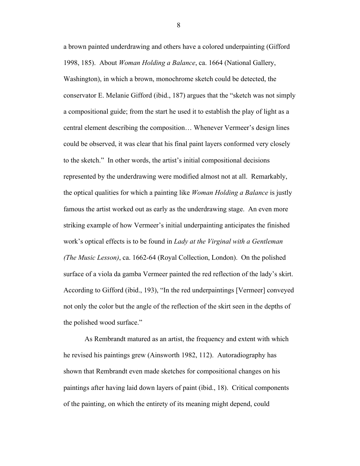a brown painted underdrawing and others have a colored underpainting (Gifford 1998, 185). About *Woman Holding a Balance*, ca. 1664 (National Gallery, Washington), in which a brown, monochrome sketch could be detected, the conservator E. Melanie Gifford (ibid., 187) argues that the "sketch was not simply a compositional guide; from the start he used it to establish the play of light as a central element describing the composition… Whenever Vermeer's design lines could be observed, it was clear that his final paint layers conformed very closely to the sketch." In other words, the artist's initial compositional decisions represented by the underdrawing were modified almost not at all. Remarkably, the optical qualities for which a painting like *Woman Holding a Balance* is justly famous the artist worked out as early as the underdrawing stage. An even more striking example of how Vermeer's initial underpainting anticipates the finished work's optical effects is to be found in *Lady at the Virginal with a Gentleman (The Music Lesson)*, ca. 1662-64 (Royal Collection, London). On the polished surface of a viola da gamba Vermeer painted the red reflection of the lady's skirt. According to Gifford (ibid., 193), "In the red underpaintings [Vermeer] conveyed not only the color but the angle of the reflection of the skirt seen in the depths of the polished wood surface."

As Rembrandt matured as an artist, the frequency and extent with which he revised his paintings grew (Ainsworth 1982, 112). Autoradiography has shown that Rembrandt even made sketches for compositional changes on his paintings after having laid down layers of paint (ibid., 18). Critical components of the painting, on which the entirety of its meaning might depend, could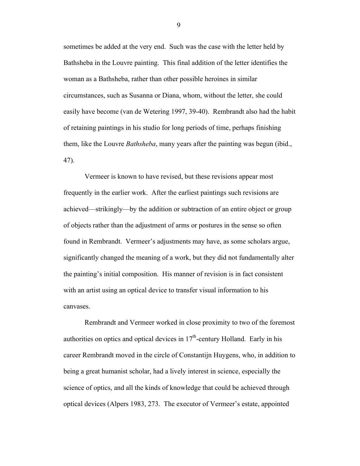sometimes be added at the very end. Such was the case with the letter held by Bathsheba in the Louvre painting. This final addition of the letter identifies the woman as a Bathsheba, rather than other possible heroines in similar circumstances, such as Susanna or Diana, whom, without the letter, she could easily have become (van de Wetering 1997, 39-40). Rembrandt also had the habit of retaining paintings in his studio for long periods of time, perhaps finishing them, like the Louvre *Bathsheba*, many years after the painting was begun (ibid., 47).

Vermeer is known to have revised, but these revisions appear most frequently in the earlier work. After the earliest paintings such revisions are achieved—strikingly—by the addition or subtraction of an entire object or group of objects rather than the adjustment of arms or postures in the sense so often found in Rembrandt. Vermeer's adjustments may have, as some scholars argue, significantly changed the meaning of a work, but they did not fundamentally alter the painting's initial composition. His manner of revision is in fact consistent with an artist using an optical device to transfer visual information to his canvases.

Rembrandt and Vermeer worked in close proximity to two of the foremost authorities on optics and optical devices in  $17<sup>th</sup>$ -century Holland. Early in his career Rembrandt moved in the circle of Constantijn Huygens, who, in addition to being a great humanist scholar, had a lively interest in science, especially the science of optics, and all the kinds of knowledge that could be achieved through optical devices (Alpers 1983, 273. The executor of Vermeer's estate, appointed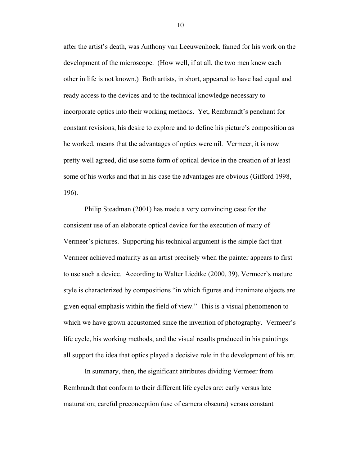after the artist's death, was Anthony van Leeuwenhoek, famed for his work on the development of the microscope. (How well, if at all, the two men knew each other in life is not known.) Both artists, in short, appeared to have had equal and ready access to the devices and to the technical knowledge necessary to incorporate optics into their working methods. Yet, Rembrandt's penchant for constant revisions, his desire to explore and to define his picture's composition as he worked, means that the advantages of optics were nil. Vermeer, it is now pretty well agreed, did use some form of optical device in the creation of at least some of his works and that in his case the advantages are obvious (Gifford 1998, 196).

Philip Steadman (2001) has made a very convincing case for the consistent use of an elaborate optical device for the execution of many of Vermeer's pictures. Supporting his technical argument is the simple fact that Vermeer achieved maturity as an artist precisely when the painter appears to first to use such a device. According to Walter Liedtke (2000, 39), Vermeer's mature style is characterized by compositions "in which figures and inanimate objects are given equal emphasis within the field of view." This is a visual phenomenon to which we have grown accustomed since the invention of photography. Vermeer's life cycle, his working methods, and the visual results produced in his paintings all support the idea that optics played a decisive role in the development of his art.

In summary, then, the significant attributes dividing Vermeer from Rembrandt that conform to their different life cycles are: early versus late maturation; careful preconception (use of camera obscura) versus constant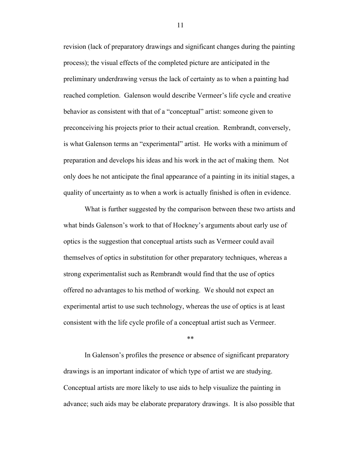revision (lack of preparatory drawings and significant changes during the painting process); the visual effects of the completed picture are anticipated in the preliminary underdrawing versus the lack of certainty as to when a painting had reached completion. Galenson would describe Vermeer's life cycle and creative behavior as consistent with that of a "conceptual" artist: someone given to preconceiving his projects prior to their actual creation. Rembrandt, conversely, is what Galenson terms an "experimental" artist. He works with a minimum of preparation and develops his ideas and his work in the act of making them. Not only does he not anticipate the final appearance of a painting in its initial stages, a quality of uncertainty as to when a work is actually finished is often in evidence.

What is further suggested by the comparison between these two artists and what binds Galenson's work to that of Hockney's arguments about early use of optics is the suggestion that conceptual artists such as Vermeer could avail themselves of optics in substitution for other preparatory techniques, whereas a strong experimentalist such as Rembrandt would find that the use of optics offered no advantages to his method of working. We should not expect an experimental artist to use such technology, whereas the use of optics is at least consistent with the life cycle profile of a conceptual artist such as Vermeer.

\*\*

In Galenson's profiles the presence or absence of significant preparatory drawings is an important indicator of which type of artist we are studying. Conceptual artists are more likely to use aids to help visualize the painting in advance; such aids may be elaborate preparatory drawings. It is also possible that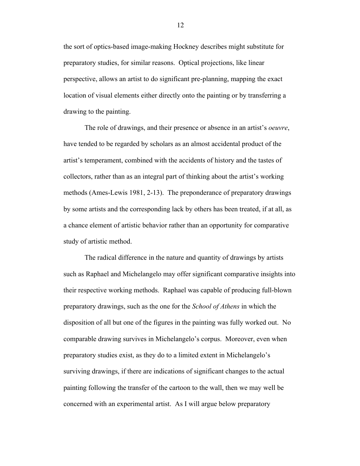the sort of optics-based image-making Hockney describes might substitute for preparatory studies, for similar reasons. Optical projections, like linear perspective, allows an artist to do significant pre-planning, mapping the exact location of visual elements either directly onto the painting or by transferring a drawing to the painting.

The role of drawings, and their presence or absence in an artist's *oeuvre*, have tended to be regarded by scholars as an almost accidental product of the artist's temperament, combined with the accidents of history and the tastes of collectors, rather than as an integral part of thinking about the artist's working methods (Ames-Lewis 1981, 2-13). The preponderance of preparatory drawings by some artists and the corresponding lack by others has been treated, if at all, as a chance element of artistic behavior rather than an opportunity for comparative study of artistic method.

The radical difference in the nature and quantity of drawings by artists such as Raphael and Michelangelo may offer significant comparative insights into their respective working methods. Raphael was capable of producing full-blown preparatory drawings, such as the one for the *School of Athens* in which the disposition of all but one of the figures in the painting was fully worked out. No comparable drawing survives in Michelangelo's corpus. Moreover, even when preparatory studies exist, as they do to a limited extent in Michelangelo's surviving drawings, if there are indications of significant changes to the actual painting following the transfer of the cartoon to the wall, then we may well be concerned with an experimental artist. As I will argue below preparatory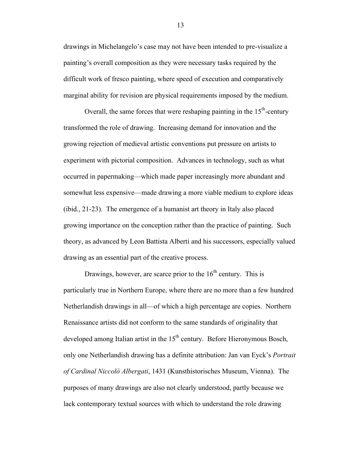drawings in Michelangelo's case may not have been intended to pre-visualize a painting's overall composition as they were necessary tasks required by the difficult work of fresco painting, where speed of execution and comparatively marginal ability for revision are physical requirements imposed by the medium.

Overall, the same forces that were reshaping painting in the  $15<sup>th</sup>$ -century transformed the role of drawing. Increasing demand for innovation and the growing rejection of medieval artistic conventions put pressure on artists to experiment with pictorial composition. Advances in technology, such as what occurred in papermaking—which made paper increasingly more abundant and somewhat less expensive—made drawing a more viable medium to explore ideas (ibid., 21-23). The emergence of a humanist art theory in Italy also placed growing importance on the conception rather than the practice of painting. Such theory, as advanced by Leon Battista Alberti and his successors, especially valued drawing as an essential part of the creative process.

Drawings, however, are scarce prior to the  $16<sup>th</sup>$  century. This is particularly true in Northern Europe, where there are no more than a few hundred Netherlandish drawings in all—of which a high percentage are copies. Northern Renaissance artists did not conform to the same standards of originality that developed among Italian artist in the  $15<sup>th</sup>$  century. Before Hieronymous Bosch, only one Netherlandish drawing has a definite attribution: Jan van Eyck's *Portrait of Cardinal Niccolò Albergati*, 1431 (Kunsthistorisches Museum, Vienna). The purposes of many drawings are also not clearly understood, partly because we lack contemporary textual sources with which to understand the role drawing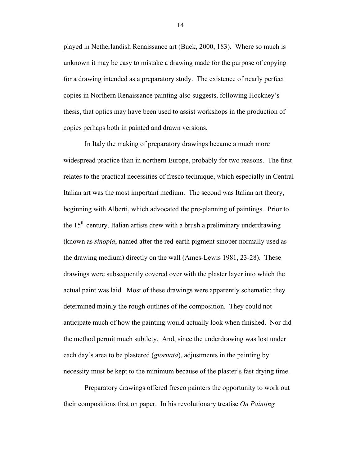played in Netherlandish Renaissance art (Buck, 2000, 183). Where so much is unknown it may be easy to mistake a drawing made for the purpose of copying for a drawing intended as a preparatory study. The existence of nearly perfect copies in Northern Renaissance painting also suggests, following Hockney's thesis, that optics may have been used to assist workshops in the production of copies perhaps both in painted and drawn versions.

In Italy the making of preparatory drawings became a much more widespread practice than in northern Europe, probably for two reasons. The first relates to the practical necessities of fresco technique, which especially in Central Italian art was the most important medium. The second was Italian art theory, beginning with Alberti, which advocated the pre-planning of paintings. Prior to the  $15<sup>th</sup>$  century, Italian artists drew with a brush a preliminary underdrawing (known as *sinopia*, named after the red-earth pigment sinoper normally used as the drawing medium) directly on the wall (Ames-Lewis 1981, 23-28). These drawings were subsequently covered over with the plaster layer into which the actual paint was laid. Most of these drawings were apparently schematic; they determined mainly the rough outlines of the composition. They could not anticipate much of how the painting would actually look when finished. Nor did the method permit much subtlety. And, since the underdrawing was lost under each day's area to be plastered (*giornata*), adjustments in the painting by necessity must be kept to the minimum because of the plaster's fast drying time.

Preparatory drawings offered fresco painters the opportunity to work out their compositions first on paper. In his revolutionary treatise *On Painting*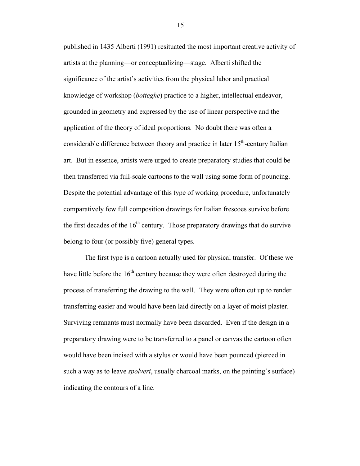published in 1435 Alberti (1991) resituated the most important creative activity of artists at the planning—or conceptualizing—stage. Alberti shifted the significance of the artist's activities from the physical labor and practical knowledge of workshop (*botteghe*) practice to a higher, intellectual endeavor, grounded in geometry and expressed by the use of linear perspective and the application of the theory of ideal proportions. No doubt there was often a considerable difference between theory and practice in later  $15<sup>th</sup>$ -century Italian art. But in essence, artists were urged to create preparatory studies that could be then transferred via full-scale cartoons to the wall using some form of pouncing. Despite the potential advantage of this type of working procedure, unfortunately comparatively few full composition drawings for Italian frescoes survive before the first decades of the  $16<sup>th</sup>$  century. Those preparatory drawings that do survive belong to four (or possibly five) general types.

The first type is a cartoon actually used for physical transfer. Of these we have little before the  $16<sup>th</sup>$  century because they were often destroyed during the process of transferring the drawing to the wall. They were often cut up to render transferring easier and would have been laid directly on a layer of moist plaster. Surviving remnants must normally have been discarded. Even if the design in a preparatory drawing were to be transferred to a panel or canvas the cartoon often would have been incised with a stylus or would have been pounced (pierced in such a way as to leave *spolveri*, usually charcoal marks, on the painting's surface) indicating the contours of a line.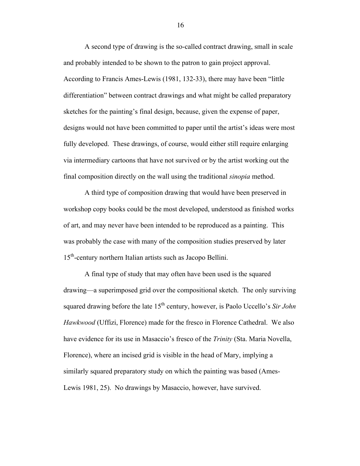A second type of drawing is the so-called contract drawing, small in scale and probably intended to be shown to the patron to gain project approval. According to Francis Ames-Lewis (1981, 132-33), there may have been "little differentiation" between contract drawings and what might be called preparatory sketches for the painting's final design, because, given the expense of paper, designs would not have been committed to paper until the artist's ideas were most fully developed. These drawings, of course, would either still require enlarging via intermediary cartoons that have not survived or by the artist working out the final composition directly on the wall using the traditional *sinopia* method.

A third type of composition drawing that would have been preserved in workshop copy books could be the most developed, understood as finished works of art, and may never have been intended to be reproduced as a painting. This was probably the case with many of the composition studies preserved by later 15<sup>th</sup>-century northern Italian artists such as Jacopo Bellini.

A final type of study that may often have been used is the squared drawing—a superimposed grid over the compositional sketch. The only surviving squared drawing before the late 15<sup>th</sup> century, however, is Paolo Uccello's *Sir John Hawkwood* (Uffizi, Florence) made for the fresco in Florence Cathedral. We also have evidence for its use in Masaccio's fresco of the *Trinity* (Sta. Maria Novella, Florence), where an incised grid is visible in the head of Mary, implying a similarly squared preparatory study on which the painting was based (Ames-Lewis 1981, 25). No drawings by Masaccio, however, have survived.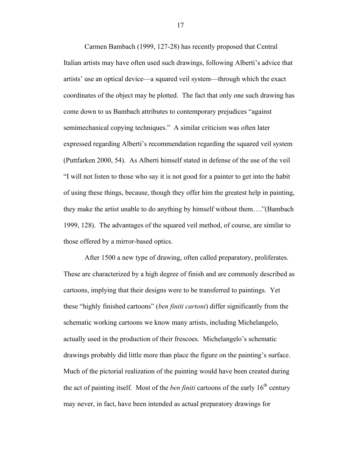Carmen Bambach (1999, 127-28) has recently proposed that Central Italian artists may have often used such drawings, following Alberti's advice that artists' use an optical device—a squared veil system—through which the exact coordinates of the object may be plotted. The fact that only one such drawing has come down to us Bambach attributes to contemporary prejudices "against semimechanical copying techniques." A similar criticism was often later expressed regarding Alberti's recommendation regarding the squared veil system (Puttfarken 2000, 54). As Alberti himself stated in defense of the use of the veil "I will not listen to those who say it is not good for a painter to get into the habit of using these things, because, though they offer him the greatest help in painting, they make the artist unable to do anything by himself without them…."(Bambach 1999, 128). The advantages of the squared veil method, of course, are similar to those offered by a mirror-based optics.

After 1500 a new type of drawing, often called preparatory, proliferates. These are characterized by a high degree of finish and are commonly described as cartoons, implying that their designs were to be transferred to paintings. Yet these "highly finished cartoons" (*ben finiti cartoni*) differ significantly from the schematic working cartoons we know many artists, including Michelangelo, actually used in the production of their frescoes. Michelangelo's schematic drawings probably did little more than place the figure on the painting's surface. Much of the pictorial realization of the painting would have been created during the act of painting itself. Most of the *ben finiti* cartoons of the early  $16<sup>th</sup>$  century may never, in fact, have been intended as actual preparatory drawings for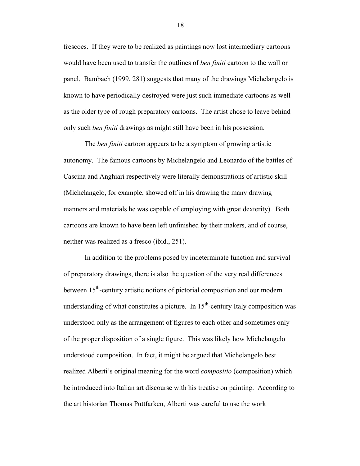frescoes. If they were to be realized as paintings now lost intermediary cartoons would have been used to transfer the outlines of *ben finiti* cartoon to the wall or panel. Bambach (1999, 281) suggests that many of the drawings Michelangelo is known to have periodically destroyed were just such immediate cartoons as well as the older type of rough preparatory cartoons. The artist chose to leave behind only such *ben finiti* drawings as might still have been in his possession.

The *ben finiti* cartoon appears to be a symptom of growing artistic autonomy. The famous cartoons by Michelangelo and Leonardo of the battles of Cascina and Anghiari respectively were literally demonstrations of artistic skill (Michelangelo, for example, showed off in his drawing the many drawing manners and materials he was capable of employing with great dexterity). Both cartoons are known to have been left unfinished by their makers, and of course, neither was realized as a fresco (ibid., 251).

In addition to the problems posed by indeterminate function and survival of preparatory drawings, there is also the question of the very real differences between 15<sup>th</sup>-century artistic notions of pictorial composition and our modern understanding of what constitutes a picture. In  $15<sup>th</sup>$ -century Italy composition was understood only as the arrangement of figures to each other and sometimes only of the proper disposition of a single figure. This was likely how Michelangelo understood composition. In fact, it might be argued that Michelangelo best realized Alberti's original meaning for the word *compositio* (composition) which he introduced into Italian art discourse with his treatise on painting. According to the art historian Thomas Puttfarken, Alberti was careful to use the work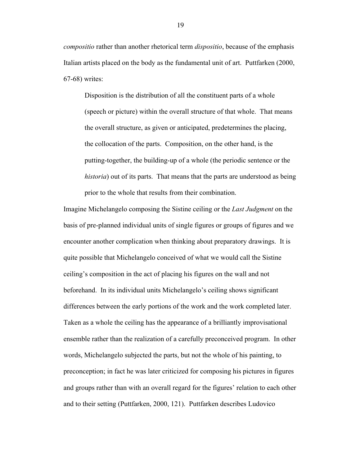*compositio* rather than another rhetorical term *dispositio*, because of the emphasis Italian artists placed on the body as the fundamental unit of art. Puttfarken (2000, 67-68) writes:

Disposition is the distribution of all the constituent parts of a whole (speech or picture) within the overall structure of that whole. That means the overall structure, as given or anticipated, predetermines the placing, the collocation of the parts. Composition, on the other hand, is the putting-together, the building-up of a whole (the periodic sentence or the *historia*) out of its parts. That means that the parts are understood as being prior to the whole that results from their combination.

Imagine Michelangelo composing the Sistine ceiling or the *Last Judgment* on the basis of pre-planned individual units of single figures or groups of figures and we encounter another complication when thinking about preparatory drawings. It is quite possible that Michelangelo conceived of what we would call the Sistine ceiling's composition in the act of placing his figures on the wall and not beforehand. In its individual units Michelangelo's ceiling shows significant differences between the early portions of the work and the work completed later. Taken as a whole the ceiling has the appearance of a brilliantly improvisational ensemble rather than the realization of a carefully preconceived program. In other words, Michelangelo subjected the parts, but not the whole of his painting, to preconception; in fact he was later criticized for composing his pictures in figures and groups rather than with an overall regard for the figures' relation to each other and to their setting (Puttfarken, 2000, 121). Puttfarken describes Ludovico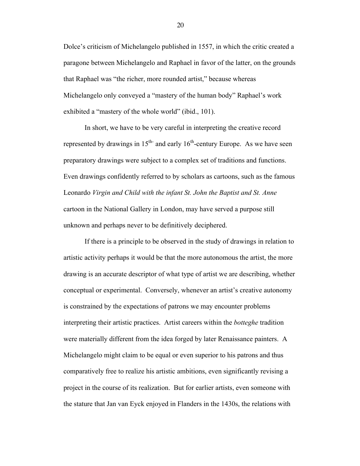Dolce's criticism of Michelangelo published in 1557, in which the critic created a paragone between Michelangelo and Raphael in favor of the latter, on the grounds that Raphael was "the richer, more rounded artist," because whereas Michelangelo only conveyed a "mastery of the human body" Raphael's work exhibited a "mastery of the whole world" (ibid., 101).

In short, we have to be very careful in interpreting the creative record represented by drawings in  $15<sup>th</sup>$  and early  $16<sup>th</sup>$ -century Europe. As we have seen preparatory drawings were subject to a complex set of traditions and functions. Even drawings confidently referred to by scholars as cartoons, such as the famous Leonardo *Virgin and Child with the infant St. John the Baptist and St. Anne* cartoon in the National Gallery in London, may have served a purpose still unknown and perhaps never to be definitively deciphered.

If there is a principle to be observed in the study of drawings in relation to artistic activity perhaps it would be that the more autonomous the artist, the more drawing is an accurate descriptor of what type of artist we are describing, whether conceptual or experimental. Conversely, whenever an artist's creative autonomy is constrained by the expectations of patrons we may encounter problems interpreting their artistic practices. Artist careers within the *botteghe* tradition were materially different from the idea forged by later Renaissance painters. A Michelangelo might claim to be equal or even superior to his patrons and thus comparatively free to realize his artistic ambitions, even significantly revising a project in the course of its realization. But for earlier artists, even someone with the stature that Jan van Eyck enjoyed in Flanders in the 1430s, the relations with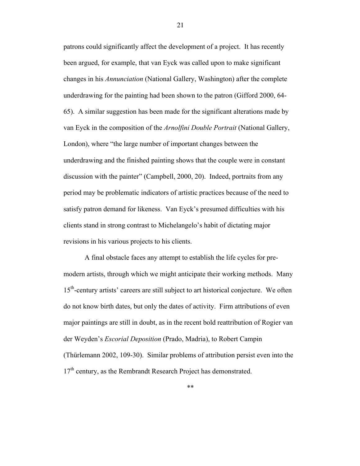patrons could significantly affect the development of a project. It has recently been argued, for example, that van Eyck was called upon to make significant changes in his *Annunciation* (National Gallery, Washington) after the complete underdrawing for the painting had been shown to the patron (Gifford 2000, 64- 65). A similar suggestion has been made for the significant alterations made by van Eyck in the composition of the *Arnolfini Double Portrait* (National Gallery, London), where "the large number of important changes between the underdrawing and the finished painting shows that the couple were in constant discussion with the painter" (Campbell, 2000, 20). Indeed, portraits from any period may be problematic indicators of artistic practices because of the need to satisfy patron demand for likeness. Van Eyck's presumed difficulties with his clients stand in strong contrast to Michelangelo's habit of dictating major revisions in his various projects to his clients.

A final obstacle faces any attempt to establish the life cycles for premodern artists, through which we might anticipate their working methods. Many 15<sup>th</sup>-century artists' careers are still subject to art historical conjecture. We often do not know birth dates, but only the dates of activity. Firm attributions of even major paintings are still in doubt, as in the recent bold reattribution of Rogier van der Weyden's *Escorial Deposition* (Prado, Madria), to Robert Campin (Thürlemann 2002, 109-30). Similar problems of attribution persist even into the 17<sup>th</sup> century, as the Rembrandt Research Project has demonstrated.

\*\*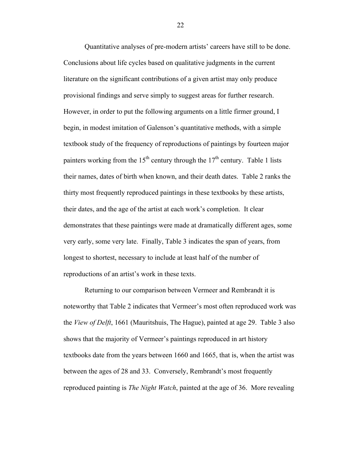Quantitative analyses of pre-modern artists' careers have still to be done. Conclusions about life cycles based on qualitative judgments in the current literature on the significant contributions of a given artist may only produce provisional findings and serve simply to suggest areas for further research. However, in order to put the following arguments on a little firmer ground, I begin, in modest imitation of Galenson's quantitative methods, with a simple textbook study of the frequency of reproductions of paintings by fourteen major painters working from the  $15<sup>th</sup>$  century through the  $17<sup>th</sup>$  century. Table 1 lists their names, dates of birth when known, and their death dates. Table 2 ranks the thirty most frequently reproduced paintings in these textbooks by these artists, their dates, and the age of the artist at each work's completion. It clear demonstrates that these paintings were made at dramatically different ages, some very early, some very late. Finally, Table 3 indicates the span of years, from longest to shortest, necessary to include at least half of the number of reproductions of an artist's work in these texts.

Returning to our comparison between Vermeer and Rembrandt it is noteworthy that Table 2 indicates that Vermeer's most often reproduced work was the *View of Delft*, 1661 (Mauritshuis, The Hague), painted at age 29. Table 3 also shows that the majority of Vermeer's paintings reproduced in art history textbooks date from the years between 1660 and 1665, that is, when the artist was between the ages of 28 and 33. Conversely, Rembrandt's most frequently reproduced painting is *The Night Watch*, painted at the age of 36. More revealing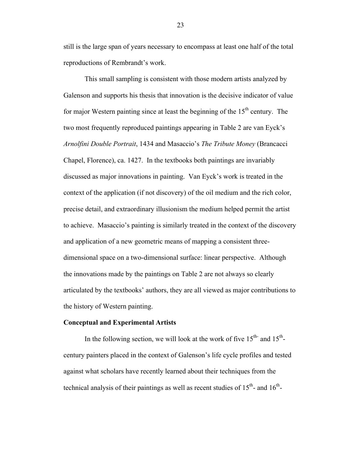still is the large span of years necessary to encompass at least one half of the total reproductions of Rembrandt's work.

This small sampling is consistent with those modern artists analyzed by Galenson and supports his thesis that innovation is the decisive indicator of value for major Western painting since at least the beginning of the  $15<sup>th</sup>$  century. The two most frequently reproduced paintings appearing in Table 2 are van Eyck's *Arnolfini Double Portrait*, 1434 and Masaccio's *The Tribute Money* (Brancacci Chapel, Florence), ca. 1427. In the textbooks both paintings are invariably discussed as major innovations in painting. Van Eyck's work is treated in the context of the application (if not discovery) of the oil medium and the rich color, precise detail, and extraordinary illusionism the medium helped permit the artist to achieve. Masaccio's painting is similarly treated in the context of the discovery and application of a new geometric means of mapping a consistent threedimensional space on a two-dimensional surface: linear perspective. Although the innovations made by the paintings on Table 2 are not always so clearly articulated by the textbooks' authors, they are all viewed as major contributions to the history of Western painting.

#### **Conceptual and Experimental Artists**

In the following section, we will look at the work of five  $15<sup>th</sup>$  and  $15<sup>th</sup>$ century painters placed in the context of Galenson's life cycle profiles and tested against what scholars have recently learned about their techniques from the technical analysis of their paintings as well as recent studies of  $15<sup>th</sup>$ - and  $16<sup>th</sup>$ -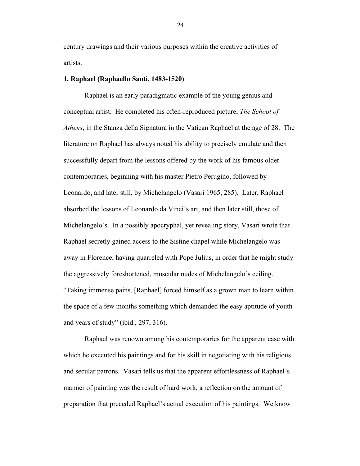century drawings and their various purposes within the creative activities of artists.

#### **1. Raphael (Raphaello Santi, 1483-1520)**

Raphael is an early paradigmatic example of the young genius and conceptual artist. He completed his often-reproduced picture, *The School of Athens*, in the Stanza della Signatura in the Vatican Raphael at the age of 28. The literature on Raphael has always noted his ability to precisely emulate and then successfully depart from the lessons offered by the work of his famous older contemporaries, beginning with his master Pietro Perugino, followed by Leonardo, and later still, by Michelangelo (Vasari 1965, 285). Later, Raphael absorbed the lessons of Leonardo da Vinci's art, and then later still, those of Michelangelo's. In a possibly apocryphal, yet revealing story, Vasari wrote that Raphael secretly gained access to the Sistine chapel while Michelangelo was away in Florence, having quarreled with Pope Julius, in order that he might study the aggressively foreshortened, muscular nudes of Michelangelo's ceiling. "Taking immense pains, [Raphael] forced himself as a grown man to learn within the space of a few months something which demanded the easy aptitude of youth and years of study" (ibid., 297, 316).

Raphael was renown among his contemporaries for the apparent ease with which he executed his paintings and for his skill in negotiating with his religious and secular patrons. Vasari tells us that the apparent effortlessness of Raphael's manner of painting was the result of hard work, a reflection on the amount of preparation that preceded Raphael's actual execution of his paintings. We know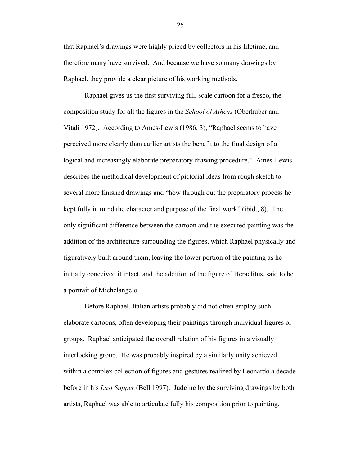that Raphael's drawings were highly prized by collectors in his lifetime, and therefore many have survived. And because we have so many drawings by Raphael, they provide a clear picture of his working methods.

Raphael gives us the first surviving full-scale cartoon for a fresco, the composition study for all the figures in the *School of Athens* (Oberhuber and Vitali 1972). According to Ames-Lewis (1986, 3), "Raphael seems to have perceived more clearly than earlier artists the benefit to the final design of a logical and increasingly elaborate preparatory drawing procedure." Ames-Lewis describes the methodical development of pictorial ideas from rough sketch to several more finished drawings and "how through out the preparatory process he kept fully in mind the character and purpose of the final work" (ibid., 8). The only significant difference between the cartoon and the executed painting was the addition of the architecture surrounding the figures, which Raphael physically and figuratively built around them, leaving the lower portion of the painting as he initially conceived it intact, and the addition of the figure of Heraclitus, said to be a portrait of Michelangelo.

Before Raphael, Italian artists probably did not often employ such elaborate cartoons, often developing their paintings through individual figures or groups. Raphael anticipated the overall relation of his figures in a visually interlocking group. He was probably inspired by a similarly unity achieved within a complex collection of figures and gestures realized by Leonardo a decade before in his *Last Supper* (Bell 1997). Judging by the surviving drawings by both artists, Raphael was able to articulate fully his composition prior to painting,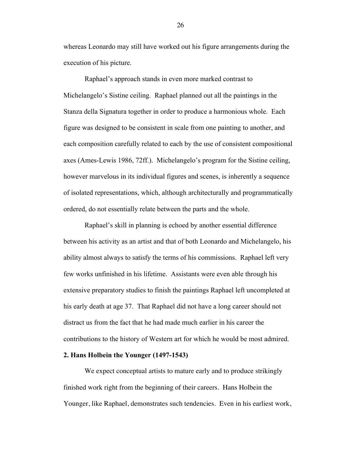whereas Leonardo may still have worked out his figure arrangements during the execution of his picture.

Raphael's approach stands in even more marked contrast to Michelangelo's Sistine ceiling. Raphael planned out all the paintings in the Stanza della Signatura together in order to produce a harmonious whole. Each figure was designed to be consistent in scale from one painting to another, and each composition carefully related to each by the use of consistent compositional axes (Ames-Lewis 1986, 72ff.). Michelangelo's program for the Sistine ceiling, however marvelous in its individual figures and scenes, is inherently a sequence of isolated representations, which, although architecturally and programmatically ordered, do not essentially relate between the parts and the whole.

Raphael's skill in planning is echoed by another essential difference between his activity as an artist and that of both Leonardo and Michelangelo, his ability almost always to satisfy the terms of his commissions. Raphael left very few works unfinished in his lifetime. Assistants were even able through his extensive preparatory studies to finish the paintings Raphael left uncompleted at his early death at age 37. That Raphael did not have a long career should not distract us from the fact that he had made much earlier in his career the contributions to the history of Western art for which he would be most admired.

#### **2. Hans Holbein the Younger (1497-1543)**

We expect conceptual artists to mature early and to produce strikingly finished work right from the beginning of their careers. Hans Holbein the Younger, like Raphael, demonstrates such tendencies. Even in his earliest work,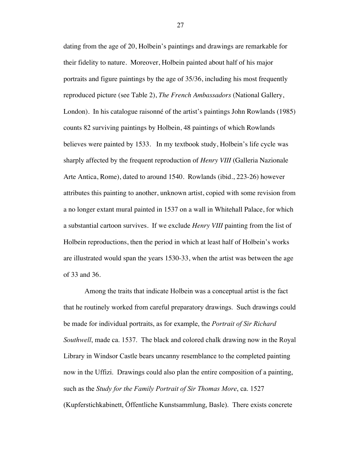dating from the age of 20, Holbein's paintings and drawings are remarkable for their fidelity to nature. Moreover, Holbein painted about half of his major portraits and figure paintings by the age of 35/36, including his most frequently reproduced picture (see Table 2), *The French Ambassadors* (National Gallery, London). In his catalogue raisonné of the artist's paintings John Rowlands (1985) counts 82 surviving paintings by Holbein, 48 paintings of which Rowlands believes were painted by 1533.In my textbook study, Holbein's life cycle was sharply affected by the frequent reproduction of *Henry VIII* (Galleria Nazionale Arte Antica, Rome), dated to around 1540. Rowlands (ibid., 223-26) however attributes this painting to another, unknown artist, copied with some revision from a no longer extant mural painted in 1537 on a wall in Whitehall Palace, for which a substantial cartoon survives. If we exclude *Henry VIII* painting from the list of Holbein reproductions, then the period in which at least half of Holbein's works are illustrated would span the years 1530-33, when the artist was between the age of 33 and 36.

Among the traits that indicate Holbein was a conceptual artist is the fact that he routinely worked from careful preparatory drawings. Such drawings could be made for individual portraits, as for example, the *Portrait of Sir Richard Southwell*, made ca. 1537. The black and colored chalk drawing now in the Royal Library in Windsor Castle bears uncanny resemblance to the completed painting now in the Uffizi. Drawings could also plan the entire composition of a painting, such as the *Study for the Family Portrait of Sir Thomas More*, ca. 1527 (Kupferstichkabinett, Öffentliche Kunstsammlung, Basle). There exists concrete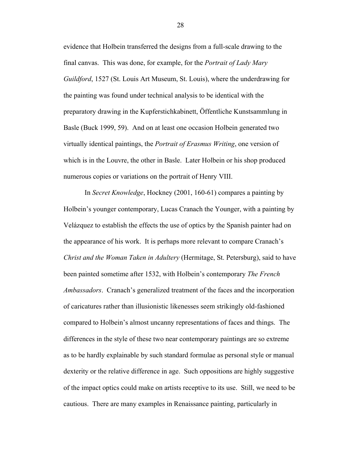evidence that Holbein transferred the designs from a full-scale drawing to the final canvas. This was done, for example, for the *Portrait of Lady Mary Guildford*, 1527 (St. Louis Art Museum, St. Louis), where the underdrawing for the painting was found under technical analysis to be identical with the preparatory drawing in the Kupferstichkabinett, Öffentliche Kunstsammlung in Basle (Buck 1999, 59). And on at least one occasion Holbein generated two virtually identical paintings, the *Portrait of Erasmus Writing*, one version of which is in the Louvre, the other in Basle. Later Holbein or his shop produced numerous copies or variations on the portrait of Henry VIII.

In *Secret Knowledge*, Hockney (2001, 160-61) compares a painting by Holbein's younger contemporary, Lucas Cranach the Younger, with a painting by Velázquez to establish the effects the use of optics by the Spanish painter had on the appearance of his work. It is perhaps more relevant to compare Cranach's *Christ and the Woman Taken in Adultery* (Hermitage, St. Petersburg), said to have been painted sometime after 1532, with Holbein's contemporary *The French Ambassadors*. Cranach's generalized treatment of the faces and the incorporation of caricatures rather than illusionistic likenesses seem strikingly old-fashioned compared to Holbein's almost uncanny representations of faces and things. The differences in the style of these two near contemporary paintings are so extreme as to be hardly explainable by such standard formulae as personal style or manual dexterity or the relative difference in age. Such oppositions are highly suggestive of the impact optics could make on artists receptive to its use. Still, we need to be cautious. There are many examples in Renaissance painting, particularly in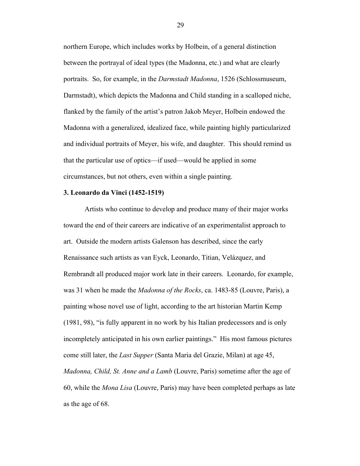northern Europe, which includes works by Holbein, of a general distinction between the portrayal of ideal types (the Madonna, etc.) and what are clearly portraits. So, for example, in the *Darmstadt Madonna*, 1526 (Schlossmuseum, Darmstadt), which depicts the Madonna and Child standing in a scalloped niche, flanked by the family of the artist's patron Jakob Meyer, Holbein endowed the Madonna with a generalized, idealized face, while painting highly particularized and individual portraits of Meyer, his wife, and daughter. This should remind us that the particular use of optics—if used—would be applied in some circumstances, but not others, even within a single painting.

#### **3. Leonardo da Vinci (1452-1519)**

Artists who continue to develop and produce many of their major works toward the end of their careers are indicative of an experimentalist approach to art. Outside the modern artists Galenson has described, since the early Renaissance such artists as van Eyck, Leonardo, Titian, Velázquez, and Rembrandt all produced major work late in their careers. Leonardo, for example, was 31 when he made the *Madonna of the Rocks*, ca. 1483-85 (Louvre, Paris), a painting whose novel use of light, according to the art historian Martin Kemp (1981, 98), "is fully apparent in no work by his Italian predecessors and is only incompletely anticipated in his own earlier paintings." His most famous pictures come still later, the *Last Supper* (Santa Maria del Grazie, Milan) at age 45, *Madonna, Child, St. Anne and a Lamb* (Louvre, Paris) sometime after the age of 60, while the *Mona Lisa* (Louvre, Paris) may have been completed perhaps as late as the age of 68.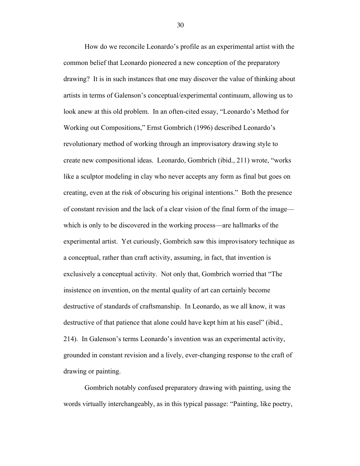How do we reconcile Leonardo's profile as an experimental artist with the common belief that Leonardo pioneered a new conception of the preparatory drawing? It is in such instances that one may discover the value of thinking about artists in terms of Galenson's conceptual/experimental continuum, allowing us to look anew at this old problem. In an often-cited essay, "Leonardo's Method for Working out Compositions," Ernst Gombrich (1996) described Leonardo's revolutionary method of working through an improvisatory drawing style to create new compositional ideas. Leonardo, Gombrich (ibid., 211) wrote, "works like a sculptor modeling in clay who never accepts any form as final but goes on creating, even at the risk of obscuring his original intentions." Both the presence of constant revision and the lack of a clear vision of the final form of the image which is only to be discovered in the working process—are hallmarks of the experimental artist. Yet curiously, Gombrich saw this improvisatory technique as a conceptual, rather than craft activity, assuming, in fact, that invention is exclusively a conceptual activity. Not only that, Gombrich worried that "The insistence on invention, on the mental quality of art can certainly become destructive of standards of craftsmanship. In Leonardo, as we all know, it was destructive of that patience that alone could have kept him at his easel" (ibid., 214). In Galenson's terms Leonardo's invention was an experimental activity, grounded in constant revision and a lively, ever-changing response to the craft of drawing or painting.

Gombrich notably confused preparatory drawing with painting, using the words virtually interchangeably, as in this typical passage: "Painting, like poetry,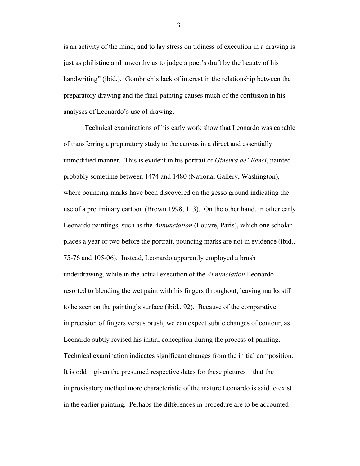is an activity of the mind, and to lay stress on tidiness of execution in a drawing is just as philistine and unworthy as to judge a poet's draft by the beauty of his handwriting" (ibid.). Gombrich's lack of interest in the relationship between the preparatory drawing and the final painting causes much of the confusion in his analyses of Leonardo's use of drawing.

Technical examinations of his early work show that Leonardo was capable of transferring a preparatory study to the canvas in a direct and essentially unmodified manner. This is evident in his portrait of *Ginevra de' Benci*, painted probably sometime between 1474 and 1480 (National Gallery, Washington), where pouncing marks have been discovered on the gesso ground indicating the use of a preliminary cartoon (Brown 1998, 113). On the other hand, in other early Leonardo paintings, such as the *Annunciation* (Louvre, Paris), which one scholar places a year or two before the portrait, pouncing marks are not in evidence (ibid., 75-76 and 105-06). Instead, Leonardo apparently employed a brush underdrawing, while in the actual execution of the *Annunciation* Leonardo resorted to blending the wet paint with his fingers throughout, leaving marks still to be seen on the painting's surface (ibid., 92). Because of the comparative imprecision of fingers versus brush, we can expect subtle changes of contour, as Leonardo subtly revised his initial conception during the process of painting. Technical examination indicates significant changes from the initial composition. It is odd—given the presumed respective dates for these pictures—that the improvisatory method more characteristic of the mature Leonardo is said to exist in the earlier painting. Perhaps the differences in procedure are to be accounted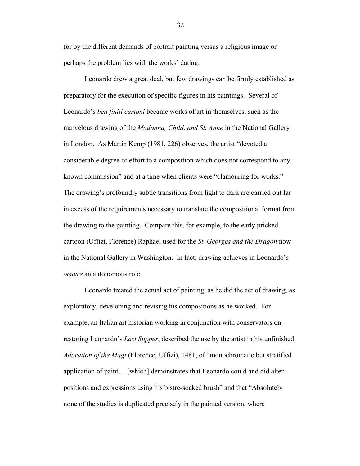for by the different demands of portrait painting versus a religious image or perhaps the problem lies with the works' dating.

Leonardo drew a great deal, but few drawings can be firmly established as preparatory for the execution of specific figures in his paintings. Several of Leonardo's *ben finiti cartoni* became works of art in themselves, such as the marvelous drawing of the *Madonna, Child, and St. Anne* in the National Gallery in London. As Martin Kemp (1981, 226) observes, the artist "devoted a considerable degree of effort to a composition which does not correspond to any known commission" and at a time when clients were "clamouring for works." The drawing's profoundly subtle transitions from light to dark are carried out far in excess of the requirements necessary to translate the compositional format from the drawing to the painting. Compare this, for example, to the early pricked cartoon (Uffizi, Florence) Raphael used for the *St. Georges and the Dragon* now in the National Gallery in Washington. In fact, drawing achieves in Leonardo's *oeuvre* an autonomous role.

Leonardo treated the actual act of painting, as he did the act of drawing, as exploratory, developing and revising his compositions as he worked. For example, an Italian art historian working in conjunction with conservators on restoring Leonardo's *Last Supper*, described the use by the artist in his unfinished *Adoration of the Magi* (Florence, Uffizi), 1481, of "monochromatic but stratified application of paint… [which] demonstrates that Leonardo could and did alter positions and expressions using his bistre-soaked brush" and that "Absolutely none of the studies is duplicated precisely in the painted version, where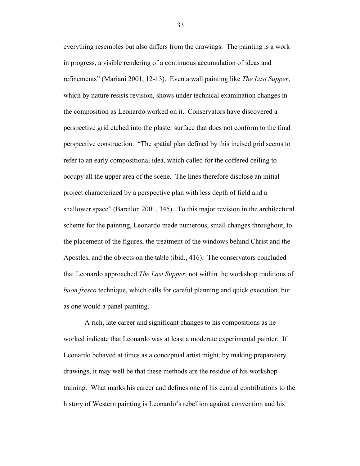everything resembles but also differs from the drawings. The painting is a work in progress, a visible rendering of a continuous accumulation of ideas and refinements" (Mariani 2001, 12-13). Even a wall painting like *The Last Supper*, which by nature resists revision, shows under technical examination changes in the composition as Leonardo worked on it. Conservators have discovered a perspective grid etched into the plaster surface that does not conform to the final perspective construction. "The spatial plan defined by this incised grid seems to refer to an early compositional idea, which called for the coffered ceiling to occupy all the upper area of the scene. The lines therefore disclose an initial project characterized by a perspective plan with less depth of field and a shallower space" (Barcilon 2001, 345). To this major revision in the architectural scheme for the painting, Leonardo made numerous, small changes throughout, to the placement of the figures, the treatment of the windows behind Christ and the Apostles, and the objects on the table (ibid., 416). The conservators concluded that Leonardo approached *The Last Supper*, not within the workshop traditions of *buon fresco* technique, which calls for careful planning and quick execution, but as one would a panel painting.

A rich, late career and significant changes to his compositions as he worked indicate that Leonardo was at least a moderate experimental painter. If Leonardo behaved at times as a conceptual artist might, by making preparatory drawings, it may well be that these methods are the residue of his workshop training. What marks his career and defines one of his central contributions to the history of Western painting is Leonardo's rebellion against convention and his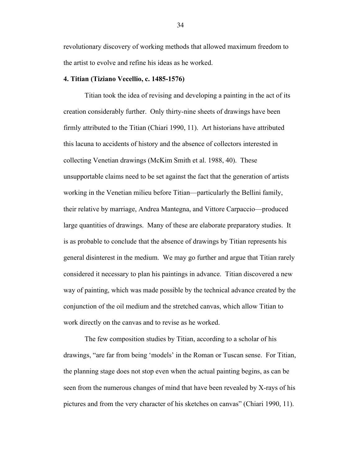revolutionary discovery of working methods that allowed maximum freedom to the artist to evolve and refine his ideas as he worked.

#### **4. Titian (Tiziano Vecellio, c. 1485-1576)**

Titian took the idea of revising and developing a painting in the act of its creation considerably further. Only thirty-nine sheets of drawings have been firmly attributed to the Titian (Chiari 1990, 11). Art historians have attributed this lacuna to accidents of history and the absence of collectors interested in collecting Venetian drawings (McKim Smith et al. 1988, 40). These unsupportable claims need to be set against the fact that the generation of artists working in the Venetian milieu before Titian—particularly the Bellini family, their relative by marriage, Andrea Mantegna, and Vittore Carpaccio—produced large quantities of drawings. Many of these are elaborate preparatory studies. It is as probable to conclude that the absence of drawings by Titian represents his general disinterest in the medium. We may go further and argue that Titian rarely considered it necessary to plan his paintings in advance. Titian discovered a new way of painting, which was made possible by the technical advance created by the conjunction of the oil medium and the stretched canvas, which allow Titian to work directly on the canvas and to revise as he worked.

The few composition studies by Titian, according to a scholar of his drawings, "are far from being 'models' in the Roman or Tuscan sense. For Titian, the planning stage does not stop even when the actual painting begins, as can be seen from the numerous changes of mind that have been revealed by X-rays of his pictures and from the very character of his sketches on canvas" (Chiari 1990, 11).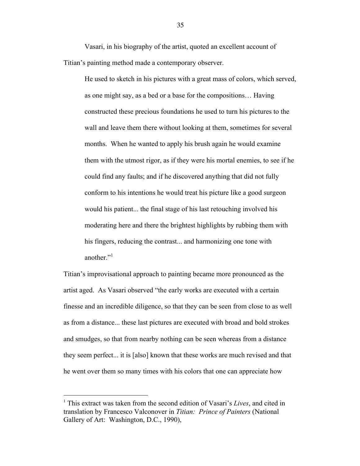Vasari, in his biography of the artist, quoted an excellent account of Titian's painting method made a contemporary observer.

He used to sketch in his pictures with a great mass of colors, which served, as one might say, as a bed or a base for the compositions… Having constructed these precious foundations he used to turn his pictures to the wall and leave them there without looking at them, sometimes for several months. When he wanted to apply his brush again he would examine them with the utmost rigor, as if they were his mortal enemies, to see if he could find any faults; and if he discovered anything that did not fully conform to his intentions he would treat his picture like a good surgeon would his patient... the final stage of his last retouching involved his moderating here and there the brightest highlights by rubbing them with his fingers, reducing the contrast... and harmonizing one tone with another $"$ <sup>1</sup>

Titian's improvisational approach to painting became more pronounced as the artist aged. As Vasari observed "the early works are executed with a certain finesse and an incredible diligence, so that they can be seen from close to as well as from a distance... these last pictures are executed with broad and bold strokes and smudges, so that from nearby nothing can be seen whereas from a distance they seem perfect... it is [also] known that these works are much revised and that he went over them so many times with his colors that one can appreciate how

 <sup>1</sup> This extract was taken from the second edition of Vasari's *Lives*, and cited in translation by Francesco Valconover in *Titian: Prince of Painters* (National Gallery of Art: Washington, D.C., 1990),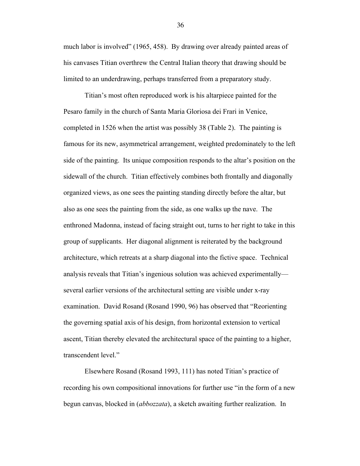much labor is involved" (1965, 458). By drawing over already painted areas of his canvases Titian overthrew the Central Italian theory that drawing should be limited to an underdrawing, perhaps transferred from a preparatory study.

Titian's most often reproduced work is his altarpiece painted for the Pesaro family in the church of Santa Maria Gloriosa dei Frari in Venice, completed in 1526 when the artist was possibly 38 (Table 2). The painting is famous for its new, asymmetrical arrangement, weighted predominately to the left side of the painting. Its unique composition responds to the altar's position on the sidewall of the church. Titian effectively combines both frontally and diagonally organized views, as one sees the painting standing directly before the altar, but also as one sees the painting from the side, as one walks up the nave. The enthroned Madonna, instead of facing straight out, turns to her right to take in this group of supplicants. Her diagonal alignment is reiterated by the background architecture, which retreats at a sharp diagonal into the fictive space. Technical analysis reveals that Titian's ingenious solution was achieved experimentally several earlier versions of the architectural setting are visible under x-ray examination. David Rosand (Rosand 1990, 96) has observed that "Reorienting the governing spatial axis of his design, from horizontal extension to vertical ascent, Titian thereby elevated the architectural space of the painting to a higher, transcendent level."

Elsewhere Rosand (Rosand 1993, 111) has noted Titian's practice of recording his own compositional innovations for further use "in the form of a new begun canvas, blocked in (*abbozzata*), a sketch awaiting further realization. In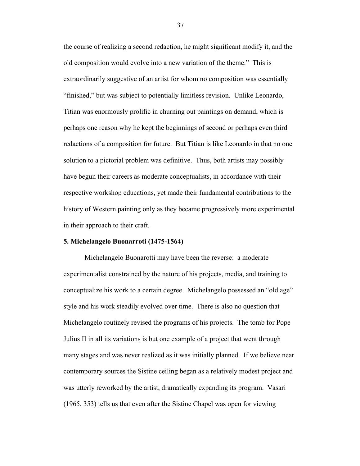the course of realizing a second redaction, he might significant modify it, and the old composition would evolve into a new variation of the theme." This is extraordinarily suggestive of an artist for whom no composition was essentially "finished," but was subject to potentially limitless revision. Unlike Leonardo, Titian was enormously prolific in churning out paintings on demand, which is perhaps one reason why he kept the beginnings of second or perhaps even third redactions of a composition for future. But Titian is like Leonardo in that no one solution to a pictorial problem was definitive. Thus, both artists may possibly have begun their careers as moderate conceptualists, in accordance with their respective workshop educations, yet made their fundamental contributions to the history of Western painting only as they became progressively more experimental in their approach to their craft.

#### **5. Michelangelo Buonarroti (1475-1564)**

Michelangelo Buonarotti may have been the reverse: a moderate experimentalist constrained by the nature of his projects, media, and training to conceptualize his work to a certain degree. Michelangelo possessed an "old age" style and his work steadily evolved over time. There is also no question that Michelangelo routinely revised the programs of his projects. The tomb for Pope Julius II in all its variations is but one example of a project that went through many stages and was never realized as it was initially planned. If we believe near contemporary sources the Sistine ceiling began as a relatively modest project and was utterly reworked by the artist, dramatically expanding its program. Vasari (1965, 353) tells us that even after the Sistine Chapel was open for viewing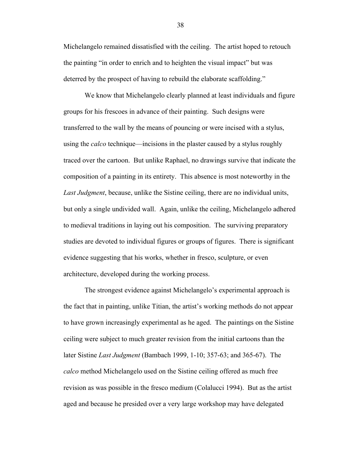Michelangelo remained dissatisfied with the ceiling. The artist hoped to retouch the painting "in order to enrich and to heighten the visual impact" but was deterred by the prospect of having to rebuild the elaborate scaffolding."

We know that Michelangelo clearly planned at least individuals and figure groups for his frescoes in advance of their painting. Such designs were transferred to the wall by the means of pouncing or were incised with a stylus, using the *calco* technique—incisions in the plaster caused by a stylus roughly traced over the cartoon. But unlike Raphael, no drawings survive that indicate the composition of a painting in its entirety. This absence is most noteworthy in the *Last Judgment*, because, unlike the Sistine ceiling, there are no individual units, but only a single undivided wall. Again, unlike the ceiling, Michelangelo adhered to medieval traditions in laying out his composition. The surviving preparatory studies are devoted to individual figures or groups of figures. There is significant evidence suggesting that his works, whether in fresco, sculpture, or even architecture, developed during the working process.

The strongest evidence against Michelangelo's experimental approach is the fact that in painting, unlike Titian, the artist's working methods do not appear to have grown increasingly experimental as he aged. The paintings on the Sistine ceiling were subject to much greater revision from the initial cartoons than the later Sistine *Last Judgment* (Bambach 1999, 1-10; 357-63; and 365-67). The *calco* method Michelangelo used on the Sistine ceiling offered as much free revision as was possible in the fresco medium (Colalucci 1994). But as the artist aged and because he presided over a very large workshop may have delegated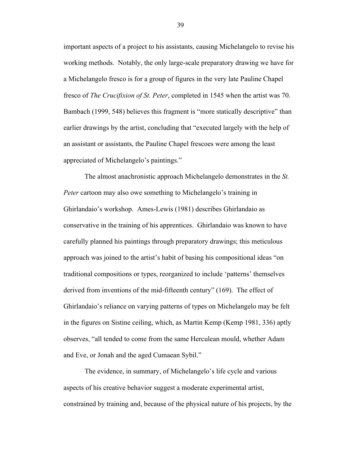important aspects of a project to his assistants, causing Michelangelo to revise his working methods. Notably, the only large-scale preparatory drawing we have for a Michelangelo fresco is for a group of figures in the very late Pauline Chapel fresco of *The Crucifixion of St. Peter*, completed in 1545 when the artist was 70. Bambach (1999, 548) believes this fragment is "more statically descriptive" than earlier drawings by the artist, concluding that "executed largely with the help of an assistant or assistants, the Pauline Chapel frescoes were among the least appreciated of Michelangelo's paintings."

The almost anachronistic approach Michelangelo demonstrates in the *St. Peter* cartoon may also owe something to Michelangelo's training in Ghirlandaio's workshop. Ames-Lewis (1981) describes Ghirlandaio as conservative in the training of his apprentices. Ghirlandaio was known to have carefully planned his paintings through preparatory drawings; this meticulous approach was joined to the artist's habit of basing his compositional ideas "on traditional compositions or types, reorganized to include 'patterns' themselves derived from inventions of the mid-fifteenth century" (169). The effect of Ghirlandaio's reliance on varying patterns of types on Michelangelo may be felt in the figures on Sistine ceiling, which, as Martin Kemp (Kemp 1981, 336) aptly observes, "all tended to come from the same Herculean mould, whether Adam and Eve, or Jonah and the aged Cumaean Sybil."

The evidence, in summary, of Michelangelo's life cycle and various aspects of his creative behavior suggest a moderate experimental artist, constrained by training and, because of the physical nature of his projects, by the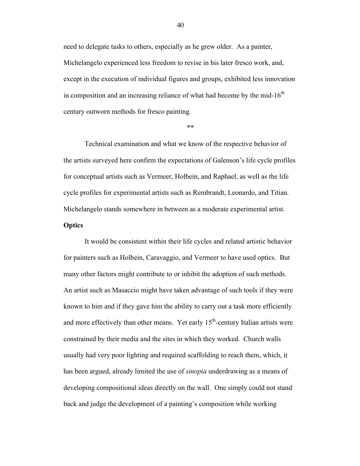need to delegate tasks to others, especially as he grew older. As a painter, Michelangelo experienced less freedom to revise in his later fresco work, and, except in the execution of individual figures and groups, exhibited less innovation in composition and an increasing reliance of what had become by the mid- $16<sup>th</sup>$ century outworn methods for fresco painting.

\*\*

Technical examination and what we know of the respective behavior of the artists surveyed here confirm the expectations of Galenson's life cycle profiles for conceptual artists such as Vermeer, Holbein, and Raphael, as well as the life cycle profiles for experimental artists such as Rembrandt, Leonardo, and Titian. Michelangelo stands somewhere in between as a moderate experimental artist.

#### **Optics**

It would be consistent within their life cycles and related artistic behavior for painters such as Holbein, Caravaggio, and Vermeer to have used optics. But many other factors might contribute to or inhibit the adoption of such methods. An artist such as Masaccio might have taken advantage of such tools if they were known to him and if they gave him the ability to carry out a task more efficiently and more effectively than other means. Yet early  $15<sup>th</sup>$ -century Italian artists were constrained by their media and the sites in which they worked. Church walls usually had very poor lighting and required scaffolding to reach them, which, it has been argued, already limited the use of *sinopia* underdrawing as a means of developing compositional ideas directly on the wall. One simply could not stand back and judge the development of a painting's composition while working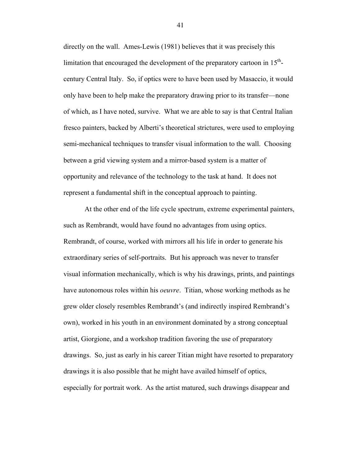directly on the wall. Ames-Lewis (1981) believes that it was precisely this limitation that encouraged the development of the preparatory cartoon in  $15<sup>th</sup>$ century Central Italy. So, if optics were to have been used by Masaccio, it would only have been to help make the preparatory drawing prior to its transfer—none of which, as I have noted, survive. What we are able to say is that Central Italian fresco painters, backed by Alberti's theoretical strictures, were used to employing semi-mechanical techniques to transfer visual information to the wall. Choosing between a grid viewing system and a mirror-based system is a matter of opportunity and relevance of the technology to the task at hand. It does not represent a fundamental shift in the conceptual approach to painting.

At the other end of the life cycle spectrum, extreme experimental painters, such as Rembrandt, would have found no advantages from using optics. Rembrandt, of course, worked with mirrors all his life in order to generate his extraordinary series of self-portraits. But his approach was never to transfer visual information mechanically, which is why his drawings, prints, and paintings have autonomous roles within his *oeuvre*. Titian, whose working methods as he grew older closely resembles Rembrandt's (and indirectly inspired Rembrandt's own), worked in his youth in an environment dominated by a strong conceptual artist, Giorgione, and a workshop tradition favoring the use of preparatory drawings. So, just as early in his career Titian might have resorted to preparatory drawings it is also possible that he might have availed himself of optics, especially for portrait work. As the artist matured, such drawings disappear and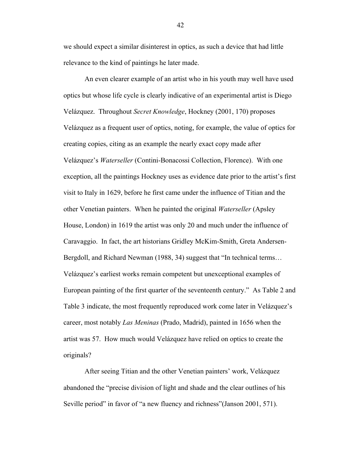we should expect a similar disinterest in optics, as such a device that had little relevance to the kind of paintings he later made.

An even clearer example of an artist who in his youth may well have used optics but whose life cycle is clearly indicative of an experimental artist is Diego Velázquez. Throughout *Secret Knowledge*, Hockney (2001, 170) proposes Velázquez as a frequent user of optics, noting, for example, the value of optics for creating copies, citing as an example the nearly exact copy made after Velázquez's *Waterseller* (Contini-Bonacossi Collection, Florence). With one exception, all the paintings Hockney uses as evidence date prior to the artist's first visit to Italy in 1629, before he first came under the influence of Titian and the other Venetian painters. When he painted the original *Waterseller* (Apsley House, London) in 1619 the artist was only 20 and much under the influence of Caravaggio. In fact, the art historians Gridley McKim-Smith, Greta Andersen-Bergdoll, and Richard Newman (1988, 34) suggest that "In technical terms… Velázquez's earliest works remain competent but unexceptional examples of European painting of the first quarter of the seventeenth century." As Table 2 and Table 3 indicate, the most frequently reproduced work come later in Velázquez's career, most notably *Las Meninas* (Prado, Madrid), painted in 1656 when the artist was 57. How much would Velázquez have relied on optics to create the originals?

After seeing Titian and the other Venetian painters' work, Velázquez abandoned the "precise division of light and shade and the clear outlines of his Seville period" in favor of "a new fluency and richness" (Janson 2001, 571).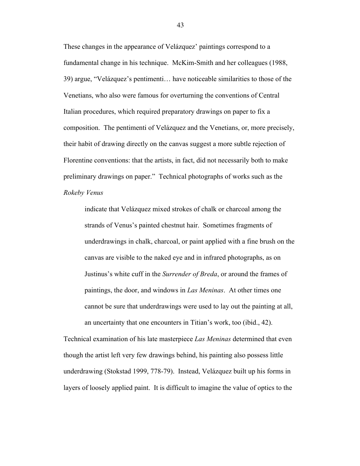These changes in the appearance of Velázquez' paintings correspond to a fundamental change in his technique. McKim-Smith and her colleagues (1988, 39) argue, "Velázquez's pentimenti… have noticeable similarities to those of the Venetians, who also were famous for overturning the conventions of Central Italian procedures, which required preparatory drawings on paper to fix a composition. The pentimenti of Velázquez and the Venetians, or, more precisely, their habit of drawing directly on the canvas suggest a more subtle rejection of Florentine conventions: that the artists, in fact, did not necessarily both to make preliminary drawings on paper." Technical photographs of works such as the *Rokeby Venus*

indicate that Velázquez mixed strokes of chalk or charcoal among the strands of Venus's painted chestnut hair. Sometimes fragments of underdrawings in chalk, charcoal, or paint applied with a fine brush on the canvas are visible to the naked eye and in infrared photographs, as on Justinus's white cuff in the *Surrender of Breda*, or around the frames of paintings, the door, and windows in *Las Meninas*. At other times one cannot be sure that underdrawings were used to lay out the painting at all, an uncertainty that one encounters in Titian's work, too (ibid., 42).

Technical examination of his late masterpiece *Las Meninas* determined that even though the artist left very few drawings behind, his painting also possess little underdrawing (Stokstad 1999, 778-79). Instead, Velázquez built up his forms in layers of loosely applied paint. It is difficult to imagine the value of optics to the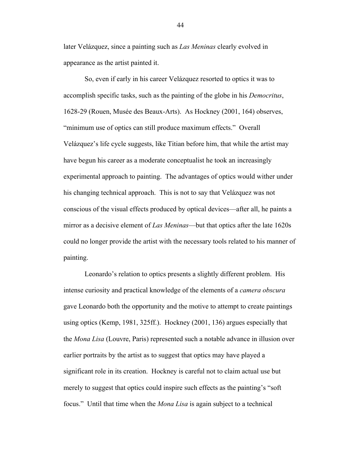later Velázquez, since a painting such as *Las Meninas* clearly evolved in appearance as the artist painted it.

So, even if early in his career Velázquez resorted to optics it was to accomplish specific tasks, such as the painting of the globe in his *Democritus*, 1628-29 (Rouen, Musée des Beaux-Arts). As Hockney (2001, 164) observes, "minimum use of optics can still produce maximum effects." Overall Velázquez's life cycle suggests, like Titian before him, that while the artist may have begun his career as a moderate conceptualist he took an increasingly experimental approach to painting. The advantages of optics would wither under his changing technical approach. This is not to say that Velázquez was not conscious of the visual effects produced by optical devices—after all, he paints a mirror as a decisive element of *Las Meninas*—but that optics after the late 1620s could no longer provide the artist with the necessary tools related to his manner of painting.

Leonardo's relation to optics presents a slightly different problem. His intense curiosity and practical knowledge of the elements of a *camera obscura* gave Leonardo both the opportunity and the motive to attempt to create paintings using optics (Kemp, 1981, 325ff.). Hockney (2001, 136) argues especially that the *Mona Lisa* (Louvre, Paris) represented such a notable advance in illusion over earlier portraits by the artist as to suggest that optics may have played a significant role in its creation. Hockney is careful not to claim actual use but merely to suggest that optics could inspire such effects as the painting's "soft focus." Until that time when the *Mona Lisa* is again subject to a technical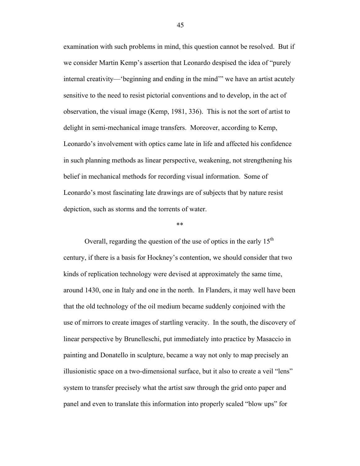examination with such problems in mind, this question cannot be resolved. But if we consider Martin Kemp's assertion that Leonardo despised the idea of "purely internal creativity—'beginning and ending in the mind'" we have an artist acutely sensitive to the need to resist pictorial conventions and to develop, in the act of observation, the visual image (Kemp, 1981, 336). This is not the sort of artist to delight in semi-mechanical image transfers. Moreover, according to Kemp, Leonardo's involvement with optics came late in life and affected his confidence in such planning methods as linear perspective, weakening, not strengthening his belief in mechanical methods for recording visual information. Some of Leonardo's most fascinating late drawings are of subjects that by nature resist depiction, such as storms and the torrents of water.

\*\*

Overall, regarding the question of the use of optics in the early  $15<sup>th</sup>$ century, if there is a basis for Hockney's contention, we should consider that two kinds of replication technology were devised at approximately the same time, around 1430, one in Italy and one in the north. In Flanders, it may well have been that the old technology of the oil medium became suddenly conjoined with the use of mirrors to create images of startling veracity. In the south, the discovery of linear perspective by Brunelleschi, put immediately into practice by Masaccio in painting and Donatello in sculpture, became a way not only to map precisely an illusionistic space on a two-dimensional surface, but it also to create a veil "lens" system to transfer precisely what the artist saw through the grid onto paper and panel and even to translate this information into properly scaled "blow ups" for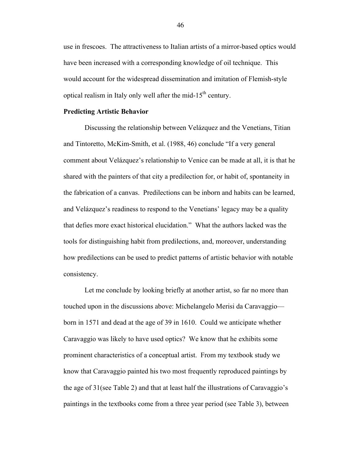use in frescoes. The attractiveness to Italian artists of a mirror-based optics would have been increased with a corresponding knowledge of oil technique. This would account for the widespread dissemination and imitation of Flemish-style optical realism in Italy only well after the mid-15<sup>th</sup> century.

#### **Predicting Artistic Behavior**

Discussing the relationship between Velázquez and the Venetians, Titian and Tintoretto, McKim-Smith, et al. (1988, 46) conclude "If a very general comment about Velázquez's relationship to Venice can be made at all, it is that he shared with the painters of that city a predilection for, or habit of, spontaneity in the fabrication of a canvas. Predilections can be inborn and habits can be learned, and Velázquez's readiness to respond to the Venetians' legacy may be a quality that defies more exact historical elucidation." What the authors lacked was the tools for distinguishing habit from predilections, and, moreover, understanding how predilections can be used to predict patterns of artistic behavior with notable consistency.

Let me conclude by looking briefly at another artist, so far no more than touched upon in the discussions above: Michelangelo Merisi da Caravaggio born in 1571 and dead at the age of 39 in 1610. Could we anticipate whether Caravaggio was likely to have used optics? We know that he exhibits some prominent characteristics of a conceptual artist. From my textbook study we know that Caravaggio painted his two most frequently reproduced paintings by the age of 31(see Table 2) and that at least half the illustrations of Caravaggio's paintings in the textbooks come from a three year period (see Table 3), between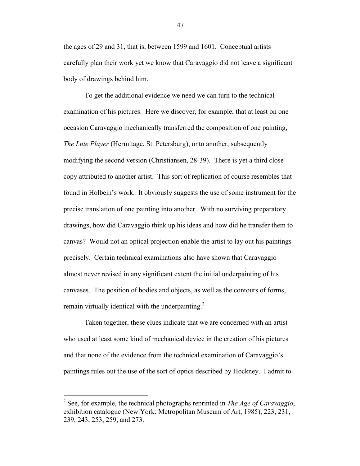the ages of 29 and 31, that is, between 1599 and 1601. Conceptual artists carefully plan their work yet we know that Caravaggio did not leave a significant body of drawings behind him.

To get the additional evidence we need we can turn to the technical examination of his pictures. Here we discover, for example, that at least on one occasion Caravaggio mechanically transferred the composition of one painting, *The Lute Player* (Hermitage, St. Petersburg), onto another, subsequently modifying the second version (Christiansen, 28-39). There is yet a third close copy attributed to another artist. This sort of replication of course resembles that found in Holbein's work. It obviously suggests the use of some instrument for the precise translation of one painting into another. With no surviving preparatory drawings, how did Caravaggio think up his ideas and how did he transfer them to canvas? Would not an optical projection enable the artist to lay out his paintings precisely. Certain technical examinations also have shown that Caravaggio almost never revised in any significant extent the initial underpainting of his canvases. The position of bodies and objects, as well as the contours of forms, remain virtually identical with the underpainting.<sup>2</sup>

Taken together, these clues indicate that we are concerned with an artist who used at least some kind of mechanical device in the creation of his pictures and that none of the evidence from the technical examination of Caravaggio's paintings rules out the use of the sort of optics described by Hockney. I admit to

 <sup>2</sup> See, for example, the technical photographs reprinted in *The Age of Caravaggio*, exhibition catalogue (New York: Metropolitan Museum of Art, 1985), 223, 231, 239, 243, 253, 259, and 273.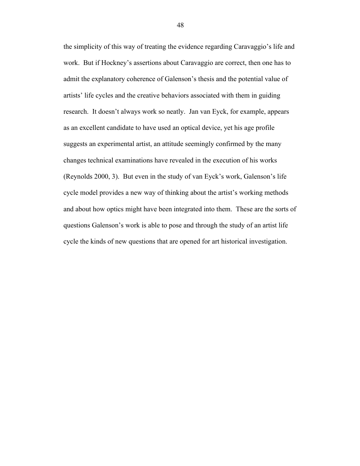the simplicity of this way of treating the evidence regarding Caravaggio's life and work. But if Hockney's assertions about Caravaggio are correct, then one has to admit the explanatory coherence of Galenson's thesis and the potential value of artists' life cycles and the creative behaviors associated with them in guiding research. It doesn't always work so neatly. Jan van Eyck, for example, appears as an excellent candidate to have used an optical device, yet his age profile suggests an experimental artist, an attitude seemingly confirmed by the many changes technical examinations have revealed in the execution of his works (Reynolds 2000, 3). But even in the study of van Eyck's work, Galenson's life cycle model provides a new way of thinking about the artist's working methods and about how optics might have been integrated into them. These are the sorts of questions Galenson's work is able to pose and through the study of an artist life cycle the kinds of new questions that are opened for art historical investigation.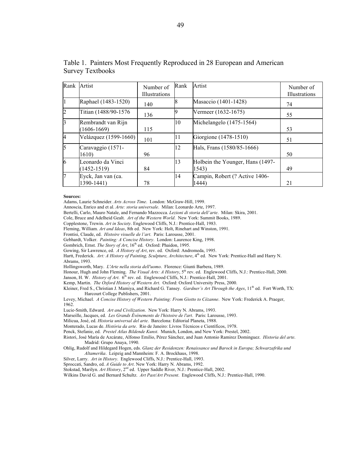| Rank Artist    |                                       | Number of<br><b>Illustrations</b> | Rank | Artist                                    | Number of<br>Illustrations |
|----------------|---------------------------------------|-----------------------------------|------|-------------------------------------------|----------------------------|
|                | Raphael (1483-1520)                   | 140                               |      | Masaccio (1401-1428)                      | 74                         |
| $\overline{2}$ | Titian (1488/90-1576)                 | 136                               |      | Vermeer (1632-1675)                       | 55                         |
| 13             | Rembrandt van Rijn<br>$(1606 - 1669)$ | 115                               | 10   | Michelangelo (1475-1564)                  | 53                         |
| $\overline{4}$ | Velázquez (1599-1660)                 | 101                               | 11   | Giorgione (1478-1510)                     | 51                         |
| 5              | Caravaggio (1571-<br>1610)            | 96                                | 12   | Hals, Frans (1580/85-1666)                | 50                         |
| 6              | Leonardo da Vinci<br>$(1452 - 1519)$  | 84                                | 13   | Holbein the Younger, Hans (1497-<br>1543) | 49                         |
| 17             | Eyck, Jan van (ca.<br>1390-1441)      | 78                                | 14   | Campin, Robert (? Active 1406-<br>1444)   | 21                         |

Table 1. Painters Most Frequently Reproduced in 28 European and American Survey Textbooks

#### **Sources:**

Adams, Laurie Schneider. *Arts Across Time*. London: McGraw-Hill, 1999.

Annoscia, Enrico and et al. *Arte: storia universale*. Milan: Leonardo Arte, 1997.

Bertelli, Carlo, Mauro Natale, and Fernando Mazzocca. *Lezioni di storia dell'arte*. Milan: Skira, 2001.

Cole, Bruce and Adelheid Gealt. *Art of the Western World*. New York: Summit Books, 1989.

Copplestone, Trewin. *Art in Society*. Englewood Cliffs, N.J.: Prentice-Hall, 1983.

Fleming, William. *Art and Ideas*, 8th ed. New York: Holt, Rinehart and Winston, 1991.

Frontisi, Claude, ed. *Histoire visuelle de l'art*. Paris: Larousse, 2001.

Gebhardt, Volker. *Painting: A Concise History*. London: Laurence King, 1998.

Gombrich, Ernst. The Story of Art, 16<sup>th</sup> ed. Oxford: Phaidon, 1995.

Gowing, Sir Lawrence, ed. *A History of Art*, rev. ed. Oxford: Andromeda, 1995.

Hartt, Frederick. Art: A History of Painting, Sculpture, Architecture, 4<sup>th</sup> ed. New York: Prentice-Hall and Harry N. Abrams, 1993.

Hollingsworth, Mary. *L'Arte nella storia dell'uomo*. Florence: Giunti Barbera, 1989.

Honour, Hugh and John Fleming. *The Visual Arts: A History*, 5<sup>th</sup> rev. ed. Englewood Cliffs, N.J.: Prentice-Hall, 2000.

Janson, H. W. *History of Art*. 6<sup>th</sup> rev. ed. Englewood Cliffs, N.J.: Prentice-Hall, 2001.

Kemp, Martin. *The Oxford History of Western Art*. Oxford: Oxford University Press, 2000.

Kleiner, Fred S., Christian J. Mamiya, and Richard G. Tansey. *Gardner's Art Through the Ages*, 11<sup>th</sup> ed. Fort Worth, TX: Harcourt College Publishers, 2001.

Levey, Michael. *A Concise History of Western Painting: From Giotto to Cézanne*. New York: Frederick A. Praeger, 1962.

Lucie-Smith, Edward. *Art and Civilization*. New York: Harry N. Abrams, 1993.

Marseille, Jacques, ed. *Les Grands Événements de l'histoire de l'art*. Paris: Larousse, 1993.

Milicua, José, ed. *Historia universal del arte*. Barcelona: Editorial Planeta, 1988.

Monterado, Lucas de. *História da arte*. Rio de Janeiro: Livros Técnicos e Científicos, 1978.

Penck, Stefanie, ed. *Prestel Atlas Bildende Kunst*. Munich, London, and New York: Prestel, 2002.

Ristori, José María de Azcárate, Alfonso Emilio, Pérez Sánchez, and Juan Antonio Ramirez Dominguez. *Historia del arte*. Madrid: Grupo Anaya, 1990.

Ohlig, Rudolf and Hildegard Hogen, eds. *Glanz der Residenzen: Renaissance und Barock in Europa; Schwarzafrika und Altamerika*. Leipzig and Mannheim: F. A. Brockhaus, 1998.

Silver, Larry. *Art in History*. Englewood Cliffs, N.J.: Prentice-Hall, 1993.

Sproccati, Sandro, ed. *A Guide to Art*. New York: Harry N. Abrams, 1992.

Stokstad, Marilyn. Art History, 2<sup>nd</sup> ed. Upper Saddle River, N.J.: Prentice-Hall, 2002.

Wilkins David G. and Bernard Schultz. *Art Past/Art Present*. Englewood Cliffs, N.J.: Prentice-Hall, 1990.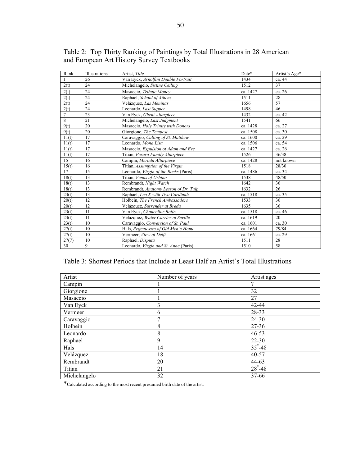| Rank           | Illustrations | Artist. Title                         | Date*    | Artist's Age* |
|----------------|---------------|---------------------------------------|----------|---------------|
|                | 26            | Van Eyck, Arnolfini Double Portrait   | 1434     | ca. 44        |
| 2(t)           | 24            | Michelangelo, Sistine Ceiling         | 1512     | 37            |
| 2(t)           | 24            | Masaccio, Tribute Money               | ca. 1427 | ca. 26        |
| 2(t)           | 24            | Raphael, School of Athens             | 1511     | 28            |
| 2(t)           | 24            | Velázquez, Las Meninas                | 1656     | 57            |
| 2(t)           | 24            | Leonardo, Last Supper                 | 1498     | 46            |
| $\overline{7}$ | 23            | Van Eyck, Ghent Altarpiece            | 1432     | ca. 42        |
| 8              | 21            | Michelangelo, Last Judgment           | 1541     | 66            |
| 9(t)           | 20            | Masaccio, Holy Trinity with Donors    | ca. 1428 | ca. 27        |
| 9(t)           | 20            | Giorgione, The Tempest                | ca. 1508 | ca. 30        |
| 11(t)          | 17            | Caravaggio, Calling of St. Matthew    | ca. 1600 | ca. 29        |
| 11(t)          | 17            | Leonardo, Mona Lisa                   | ca. 1506 | ca. 54        |
| 11(t)          | 17            | Masaccio, Expulsion of Adam and Eve   | ca. 1427 | ca. 26        |
| 11(t)          | 17            | Titian, Pesaro Family Altarpiece      | 1526     | 36/38         |
| 15             | 16            | Campin, Meroda Altarpiece             | ca. 1428 | not known     |
| 15(t)          | 16            | Titian, Assumption of the Virgin      | 1518     | 28/30         |
| 17             | 15            | Leonardo, Virgin of the Rocks (Paris) | ca. 1486 | ca. 34        |
| 18(t)          | 13            | Titian, Venus of Urbino               | 1538     | 48/50         |
| 18(t)          | 13            | Rembrandt, Night Watch                | 1642     | 36            |
| 18(t)          | 13            | Rembrandt, Anatomy Lesson of Dr. Tulp | 1632     | 26            |
| 23(t)          | 13            | Raphael, Leo X with Two Cardinals     | ca. 1518 | ca. 35        |
| 20(t)          | 12            | Holbein. The French Ambassadors       | 1533     | 36            |
| 20(t)          | 12            | Velázquez, Surrender at Breda         | 1635     | 36            |
| 23(t)          | 11            | Van Eyck, Chancellor Rolin            | ca. 1518 | ca. 46        |
| 23(t)          | 11            | Velázquez, Water Carrier of Seville   | ca. 1619 | 20            |
| 23(t)          | 10            | Caravaggio, Conversion of St. Paul    | ca. 1601 | ca. 30        |
| 27(t)          | 10            | Hals, Regentesses of Old Men's Home   | ca. 1664 | 79/84         |
| 27(t)          | 10            | Vermeer, View of Delft                | ca. 1661 | ca. 29        |
| 27(7)          | 10            | Raphael, Disputà                      | 1511     | 28            |
| 30             | 9             | Leonardo, Virgin and St. Anne (Paris) | 1510     | 58            |

Table 2: Top Thirty Ranking of Paintings by Total Illustrations in 28 American and European Art History Survey Textbooks

# Table 3: Shortest Periods that Include at Least Half an Artist's Total Illustrations

| Artist       | Number of years | Artist ages |  |
|--------------|-----------------|-------------|--|
| Campin       |                 | ?           |  |
| Giorgione    |                 | 32          |  |
| Masaccio     |                 | 27          |  |
| Van Eyck     | 3               | 42-44       |  |
| Vermeer      | 6               | 28-33       |  |
| Caravaggio   | 7               | 24-30       |  |
| Holbein      | 8               | $27 - 36$   |  |
| Leonardo     | 8               | 46-53       |  |
| Raphael      | 9               | $22 - 30$   |  |
| Hals         | 14              | $35^* - 48$ |  |
| Velázquez    | 18              | 40-57       |  |
| Rembrandt    | 20              | 44-63       |  |
| Titian       | 21              | $28^* - 48$ |  |
| Michelangelo | 32              | 37-66       |  |

\*Calculated according to the most recent presumed birth date of the artist.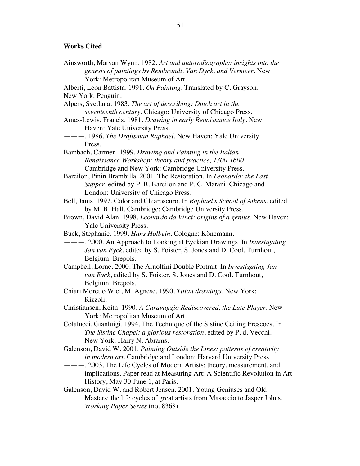# **Works Cited**

| Ainsworth, Maryan Wynn. 1982. Art and autoradiography: insights into the        |
|---------------------------------------------------------------------------------|
| genesis of paintings by Rembrandt, Van Dyck, and Vermeer. New                   |
| York: Metropolitan Museum of Art.                                               |
| Alberti, Leon Battista. 1991. On Painting. Translated by C. Grayson.            |
| New York: Penguin.                                                              |
| Alpers, Svetlana. 1983. The art of describing: Dutch art in the                 |
| seventeenth century. Chicago: University of Chicago Press.                      |
| Ames-Lewis, Francis. 1981. Drawing in early Renaissance Italy. New              |
| Haven: Yale University Press.                                                   |
| ———. 1986. The Draftsman Raphael. New Haven: Yale University                    |
| Press.                                                                          |
| Bambach, Carmen. 1999. Drawing and Painting in the Italian                      |
| Renaissance Workshop: theory and practice, 1300-1600.                           |
| Cambridge and New York: Cambridge University Press.                             |
| Barcilon, Pinin Brambilla. 2001. The Restoration. In Leonardo: the Last         |
| Supper, edited by P. B. Barcilon and P. C. Marani. Chicago and                  |
| London: University of Chicago Press.                                            |
| Bell, Janis. 1997. Color and Chiaroscuro. In Raphael's School of Athens, edited |
| by M. B. Hall. Cambridge: Cambridge University Press.                           |
| Brown, David Alan. 1998. Leonardo da Vinci: origins of a genius. New Haven:     |
| Yale University Press.                                                          |
| Buck, Stephanie. 1999. Hans Holbein. Cologne: Könemann.                         |
| --- 2000. An Approach to Looking at Eyckian Drawings. In <i>Investigating</i>   |
| Jan van Eyck, edited by S. Foister, S. Jones and D. Cool. Turnhout,             |
| Belgium: Brepols.                                                               |
| Campbell, Lorne. 2000. The Arnolfini Double Portrait. In Investigating Jan      |
| van Eyck, edited by S. Foister, S. Jones and D. Cool. Turnhout,                 |
| Belgium: Brepols.                                                               |
| Chiari Moretto Wiel, M. Agnese. 1990. Titian drawings. New York:                |
| Rizzoli.                                                                        |
| Christiansen, Keith. 1990. A Caravaggio Rediscovered, the Lute Player. New      |
| York: Metropolitan Museum of Art.                                               |
| Colalucci, Gianluigi. 1994. The Technique of the Sistine Ceiling Frescoes. In   |
| The Sistine Chapel: a glorious restoration, edited by P. d. Vecchi.             |
| New York: Harry N. Abrams.                                                      |
| Galenson, David W. 2001. Painting Outside the Lines: patterns of creativity     |
| in modern art. Cambridge and London: Harvard University Press.                  |
| --- 2003. The Life Cycles of Modern Artists: theory, measurement, and           |
| implications. Paper read at Measuring Art: A Scientific Revolution in Art       |
| History, May 30-June 1, at Paris.                                               |
| Galenson, David W. and Robert Jensen. 2001. Young Geniuses and Old              |
| Masters: the life cycles of great artists from Masaccio to Jasper Johns.        |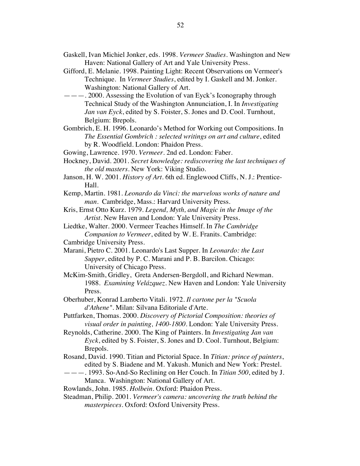- Gaskell, Ivan Michiel Jonker, eds. 1998. *Vermeer Studies*. Washington and New Haven: National Gallery of Art and Yale University Press.
- Gifford, E. Melanie. 1998. Painting Light: Recent Observations on Vermeer's Technique. In *Vermeer Studies*, edited by I. Gaskell and M. Jonker. Washington: National Gallery of Art.
- ———. 2000. Assessing the Evolution of van Eyck's Iconography through Technical Study of the Washington Annunciation, I. In *Investigating Jan van Eyck*, edited by S. Foister, S. Jones and D. Cool. Turnhout, Belgium: Brepols.
- Gombrich, E. H. 1996. Leonardo's Method for Working out Compositions. In *The Essential Gombrich : selected writings on art and culture*, edited by R. Woodfield. London: Phaidon Press.
- Gowing, Lawrence. 1970. *Vermeer*. 2nd ed. London: Faber.
- Hockney, David. 2001. *Secret knowledge: rediscovering the last techniques of the old masters*. New York: Viking Studio.
- Janson, H. W. 2001. *History of Art*. 6th ed. Englewood Cliffs, N. J.: Prentice-Hall.
- Kemp, Martin. 1981. *Leonardo da Vinci: the marvelous works of nature and man*. Cambridge, Mass.: Harvard University Press.
- Kris, Ernst Otto Kurz. 1979. *Legend, Myth, and Magic in the Image of the Artist*. New Haven and London: Yale University Press.
- Liedtke, Walter. 2000. Vermeer Teaches Himself. In *The Cambridge Companion to Vermeer*, edited by W. E. Franits. Cambridge:
- Cambridge University Press.
- Marani, Pietro C. 2001. Leonardo's Last Supper. In *Leonardo: the Last Supper*, edited by P. C. Marani and P. B. Barcilon. Chicago: University of Chicago Press.
- McKim-Smith, Gridley, Greta Andersen-Bergdoll, and Richard Newman. 1988. *Examining Velázquez*. New Haven and London: Yale University Press.
- Oberhuber, Konrad Lamberto Vitali. 1972. *Il cartone per la "Scuola d'Athene"*. Milan: Silvana Editoriale d'Arte.
- Puttfarken, Thomas. 2000. *Discovery of Pictorial Composition: theories of visual order in painting, 1400-1800*. London: Yale University Press.
- Reynolds, Catherine. 2000. The King of Painters. In *Investigating Jan van Eyck*, edited by S. Foister, S. Jones and D. Cool. Turnhout, Belgium: Brepols.
- Rosand, David. 1990. Titian and Pictorial Space. In *Titian: prince of painters*, edited by S. Biadene and M. Yakush. Munich and New York: Prestel.
- ———. 1993. So-And-So Reclining on Her Couch. In *Titian 500*, edited by J. Manca. Washington: National Gallery of Art.
- Rowlands, John. 1985. *Holbein*. Oxford: Phaidon Press.
- Steadman, Philip. 2001. *Vermeer's camera: uncovering the truth behind the masterpieces*. Oxford: Oxford University Press.